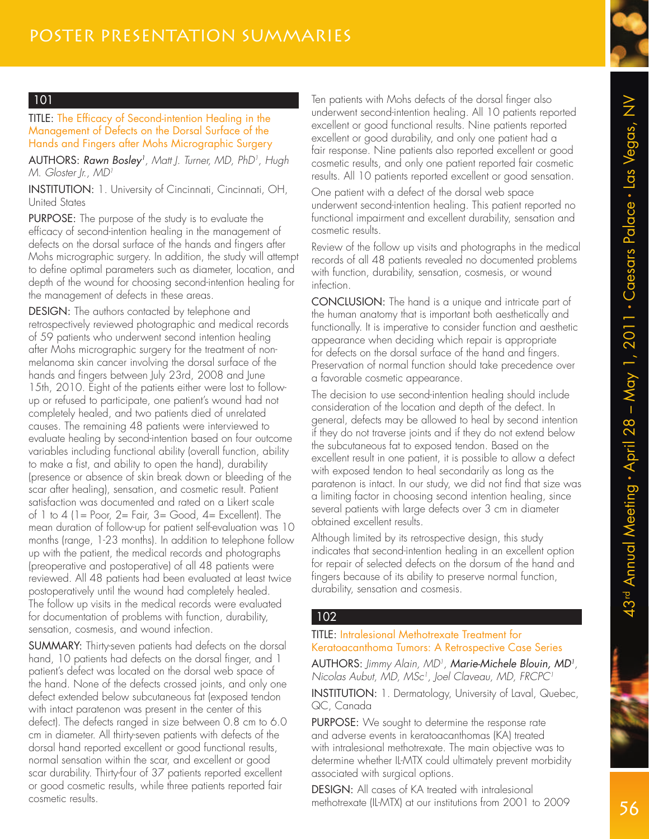

#### TITLE: The Efficacy of Second-intention Healing in the Management of Defects on the Dorsal Surface of the Hands and Fingers after Mohs Micrographic Surgery

AUTHORS: Rawn Bosley<sup>1</sup>, Matt J. Turner, MD, PhD<sup>1</sup>, Hugh M. Gloster Ir., MD<sup>1</sup>

INSTITUTION: 1. University of Cincinnati, Cincinnati, OH, United States

PURPOSE: The purpose of the study is to evaluate the efficacy of second-intention healing in the management of defects on the dorsal surface of the hands and fingers after Mohs micrographic surgery. In addition, the study will attempt to define optimal parameters such as diameter, location, and depth of the wound for choosing second-intention healing for the management of defects in these areas.

DESIGN: The authors contacted by telephone and retrospectively reviewed photographic and medical records of 59 patients who underwent second intention healing after Mohs micrographic surgery for the treatment of nonmelanoma skin cancer involving the dorsal surface of the hands and fingers between July 23rd, 2008 and June 15th, 2010. Eight of the patients either were lost to followup or refused to participate, one patient's wound had not completely healed, and two patients died of unrelated causes. The remaining 48 patients were interviewed to evaluate healing by second-intention based on four outcome variables including functional ability (overall function, ability to make a fist, and ability to open the hand), durability (presence or absence of skin break down or bleeding of the scar after healing), sensation, and cosmetic result. Patient satisfaction was documented and rated on a Likert scale of 1 to 4 (1 = Poor, 2 = Fair, 3 = Good, 4 = Excellent). The mean duration of follow-up for patient self-evaluation was 10 months (range, 1-23 months). In addition to telephone follow up with the patient, the medical records and photographs (preoperative and postoperative) of all 48 patients were reviewed. All 48 patients had been evaluated at least twice postoperatively until the wound had completely healed. The follow up visits in the medical records were evaluated for documentation of problems with function, durability, sensation, cosmesis, and wound infection.

SUMMARY: Thirty-seven patients had defects on the dorsal hand, 10 patients had defects on the dorsal finger, and 1 patient's defect was located on the dorsal web space of the hand. None of the defects crossed joints, and only one defect extended below subcutaneous fat (exposed tendon with intact paratenon was present in the center of this defect). The defects ranged in size between 0.8 cm to 6.0 cm in diameter. All thirty-seven patients with defects of the dorsal hand reported excellent or good functional results, normal sensation within the scar, and excellent or good scar durability. Thirty-four of 37 patients reported excellent or good cosmetic results, while three patients reported fair cosmetic results.

Ten patients with Mohs defects of the dorsal finger also underwent second-intention healing. All 10 patients reported excellent or good functional results. Nine patients reported excellent or good durability, and only one patient had a fair response. Nine patients also reported excellent or good cosmetic results, and only one patient reported fair cosmetic results. All 10 patients reported excellent or good sensation.

One patient with a defect of the dorsal web space underwent second-intention healing. This patient reported no functional impairment and excellent durability, sensation and cosmetic results.

Review of the follow up visits and photographs in the medical records of all 48 patients revealed no documented problems with function, durability, sensation, cosmesis, or wound infection.

CONCLUSION: The hand is a unique and intricate part of the human anatomy that is important both aesthetically and functionally. It is imperative to consider function and aesthetic appearance when deciding which repair is appropriate for defects on the dorsal surface of the hand and fingers. Preservation of normal function should take precedence over a favorable cosmetic appearance.

The decision to use second-intention healing should include consideration of the location and depth of the defect. In general, defects may be allowed to heal by second intention if they do not traverse joints and if they do not extend below the subcutaneous fat to exposed tendon. Based on the excellent result in one patient, it is possible to allow a defect with exposed tendon to heal secondarily as long as the paratenon is intact. In our study, we did not find that size was a limiting factor in choosing second intention healing, since several patients with large defects over 3 cm in diameter obtained excellent results.

Although limited by its retrospective design, this study indicates that second-intention healing in an excellent option for repair of selected defects on the dorsum of the hand and fingers because of its ability to preserve normal function, durability, sensation and cosmesis.

#### 102

#### TITLE: Intralesional Methotrexate Treatment for Keratoacanthoma Tumors: A Retrospective Case Series

AUTHORS: Jimmy Alain, MD<sup>1</sup>, **Marie-Michele Blouin, MD<sup>1</sup>,** Nicolas Aubut, MD, MSc<sup>1</sup>, Joel Claveau, MD, FRCPC<sup>1</sup>

INSTITUTION: 1. Dermatology, University of Laval, Quebec, QC, Canada

PURPOSE: We sought to determine the response rate and adverse events in keratoacanthomas (KA) treated with intralesional methotrexate. The main objective was to determine whether IL-MTX could ultimately prevent morbidity associated with surgical options.

DESIGN: All cases of KA treated with intralesional methotrexate (IL-MTX) at our institutions from 2001 to 2009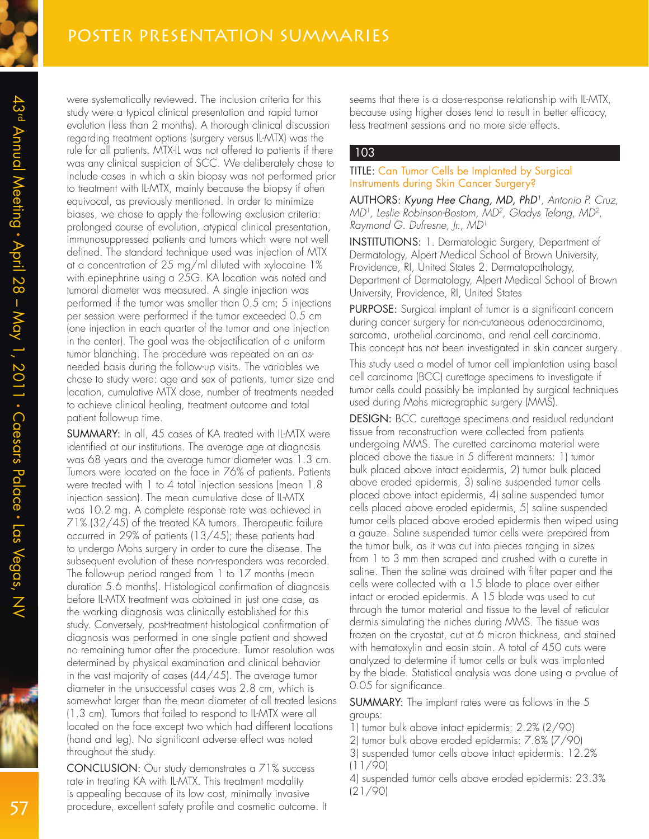were systematically reviewed. The inclusion criteria for this study were a typical clinical presentation and rapid tumor evolution (less than 2 months). A thorough clinical discussion regarding treatment options (surgery versus IL-MTX) was the rule for all patients. MTX-IL was not offered to patients if there was any clinical suspicion of SCC. We deliberately chose to include cases in which a skin biopsy was not performed prior to treatment with IL-MTX, mainly because the biopsy if often equivocal, as previously mentioned. In order to minimize biases, we chose to apply the following exclusion criteria: prolonged course of evolution, atypical clinical presentation, immunosuppressed patients and tumors which were not well defined. The standard technique used was injection of MTX at a concentration of 25 mg/ml diluted with xylocaine 1% with epinephrine using a 25G. KA location was noted and tumoral diameter was measured. A single injection was performed if the tumor was smaller than 0.5 cm; 5 injections per session were performed if the tumor exceeded 0.5 cm (one injection in each quarter of the tumor and one injection in the center). The goal was the objectification of a uniform tumor blanching. The procedure was repeated on an asneeded basis during the follow-up visits. The variables we chose to study were: age and sex of patients, tumor size and location, cumulative MTX dose, number of treatments needed to achieve clinical healing, treatment outcome and total patient follow-up time.

SUMMARY: In all, 45 cases of KA treated with IL-MTX were identified at our institutions. The average age at diagnosis was 68 years and the average tumor diameter was 1.3 cm. Tumors were located on the face in 76% of patients. Patients were treated with 1 to 4 total injection sessions (mean 1.8 injection session). The mean cumulative dose of IL-MTX was 10.2 mg. A complete response rate was achieved in 71% (32/45) of the treated KA tumors. Therapeutic failure occurred in 29% of patients (13/45); these patients had to undergo Mohs surgery in order to cure the disease. The subsequent evolution of these non-responders was recorded. The follow-up period ranged from 1 to 17 months (mean duration 5.6 months). Histological confirmation of diagnosis before IL-MTX treatment was obtained in just one case, as the working diagnosis was clinically established for this study. Conversely, post-treatment histological confirmation of diagnosis was performed in one single patient and showed no remaining tumor after the procedure. Tumor resolution was determined by physical examination and clinical behavior in the vast majority of cases (44/45). The average tumor diameter in the unsuccessful cases was 2.8 cm, which is somewhat larger than the mean diameter of all treated lesions (1.3 cm). Tumors that failed to respond to IL-MTX were all located on the face except two which had different locations (hand and leg). No significant adverse effect was noted throughout the study.

CONCLUSION: Our study demonstrates a 71% success rate in treating KA with IL-MTX. This treatment modality is appealing because of its low cost, minimally invasive procedure, excellent safety profile and cosmetic outcome. It

seems that there is a dose-response relationship with IL-MTX, because using higher doses tend to result in better efficacy, less treatment sessions and no more side effects.

#### 103

#### TITLE: Can Tumor Cells be Implanted by Surgical Instruments during Skin Cancer Surgery?

AUTHORS: Kyung Hee Chang, MD, PhD<sup>1</sup> , Antonio P. Cruz, MD1 , Leslie Robinson-Bostom, MD<sup>2</sup> , Gladys Telang, MD<sup>2</sup> , Raymond G. Dufresne, Jr., MD<sup>1</sup>

INSTITUTIONS: 1. Dermatologic Surgery, Department of Dermatology, Alpert Medical School of Brown University, Providence, RI, United States 2. Dermatopathology, Department of Dermatology, Alpert Medical School of Brown University, Providence, RI, United States

PURPOSE: Surgical implant of tumor is a significant concern during cancer surgery for non-cutaneous adenocarcinoma, sarcoma, urothelial carcinoma, and renal cell carcinoma. This concept has not been investigated in skin cancer surgery.

This study used a model of tumor cell implantation using basal cell carcinoma (BCC) curettage specimens to investigate if tumor cells could possibly be implanted by surgical techniques used during Mohs micrographic surgery (MMS).

DESIGN: BCC curettage specimens and residual redundant tissue from reconstruction were collected from patients undergoing MMS. The curetted carcinoma material were placed above the tissue in 5 different manners: 1) tumor bulk placed above intact epidermis, 2) tumor bulk placed above eroded epidermis, 3) saline suspended tumor cells placed above intact epidermis, 4) saline suspended tumor cells placed above eroded epidermis, 5) saline suspended tumor cells placed above eroded epidermis then wiped using a gauze. Saline suspended tumor cells were prepared from the tumor bulk, as it was cut into pieces ranging in sizes from 1 to 3 mm then scraped and crushed with a curette in saline. Then the saline was drained with filter paper and the cells were collected with a 15 blade to place over either intact or eroded epidermis. A 15 blade was used to cut through the tumor material and tissue to the level of reticular dermis simulating the niches during MMS. The tissue was frozen on the cryostat, cut at 6 micron thickness, and stained with hematoxylin and eosin stain. A total of 450 cuts were analyzed to determine if tumor cells or bulk was implanted by the blade. Statistical analysis was done using a p-value of 0.05 for significance.

SUMMARY: The implant rates were as follows in the 5 groups:

1) tumor bulk above intact epidermis: 2.2% (2/90)

2) tumor bulk above eroded epidermis: 7.8% (7/90)

3) suspended tumor cells above intact epidermis: 12.2% (11/90)

4) suspended tumor cells above eroded epidermis: 23.3% (21/90)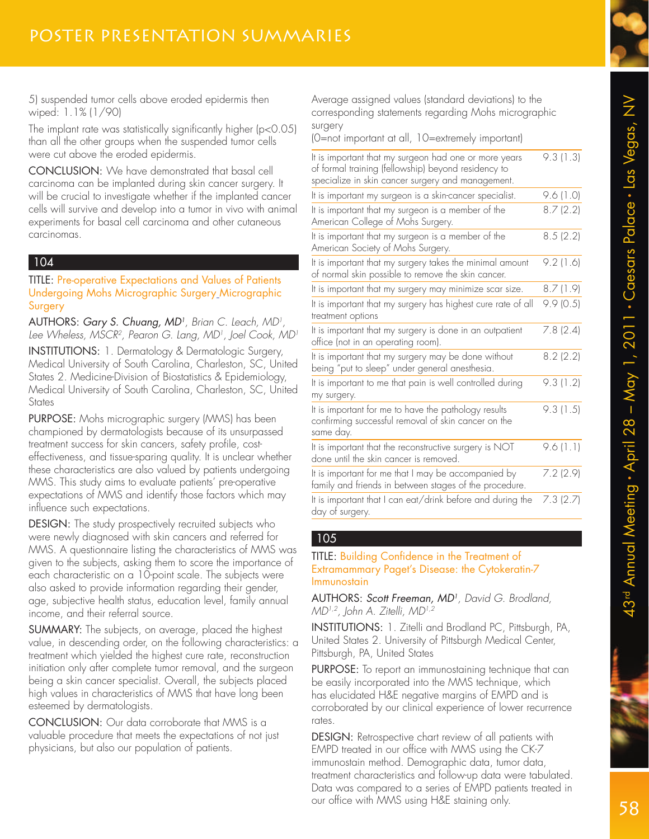5) suspended tumor cells above eroded epidermis then wiped: 1.1% (1/90)

The implant rate was statistically significantly higher (p<0.05) than all the other groups when the suspended tumor cells were cut above the eroded epidermis.

CONCLUSION: We have demonstrated that basal cell carcinoma can be implanted during skin cancer surgery. It will be crucial to investigate whether if the implanted cancer cells will survive and develop into a tumor in vivo with animal experiments for basal cell carcinoma and other cutaneous carcinomas.

### 104

TITLE: Pre-operative Expectations and Values of Patients Undergoing Mohs Micrographic Surgery Micrographic **Surgery** 

AUTHORS: Gary S. Chuang, MD<sup>1</sup>, Brian C. Leach, MD<sup>1</sup>, Lee Wheless, MSCR2, Pearon G. Lang, MD<sup>1</sup>, Joel Cook, MD<sup>1</sup>

INSTITUTIONS: 1. Dermatology & Dermatologic Surgery, Medical University of South Carolina, Charleston, SC, United States 2. Medicine-Division of Biostatistics & Epidemiology, Medical University of South Carolina, Charleston, SC, United **States** 

PURPOSE: Mohs micrographic surgery (MMS) has been championed by dermatologists because of its unsurpassed treatment success for skin cancers, safety profile, costeffectiveness, and tissue-sparing quality. It is unclear whether these characteristics are also valued by patients undergoing MMS. This study aims to evaluate patients' pre-operative expectations of MMS and identify those factors which may influence such expectations.

DESIGN: The study prospectively recruited subjects who were newly diagnosed with skin cancers and referred for MMS. A questionnaire listing the characteristics of MMS was given to the subjects, asking them to score the importance of each characteristic on a 10-point scale. The subjects were also asked to provide information regarding their gender, age, subjective health status, education level, family annual income, and their referral source.

SUMMARY: The subjects, on average, placed the highest value, in descending order, on the following characteristics: a treatment which yielded the highest cure rate, reconstruction initiation only after complete tumor removal, and the surgeon being a skin cancer specialist. Overall, the subjects placed high values in characteristics of MMS that have long been esteemed by dermatologists.

CONCLUSION: Our data corroborate that MMS is a valuable procedure that meets the expectations of not just physicians, but also our population of patients.

Average assigned values (standard deviations) to the corresponding statements regarding Mohs micrographic surgery

(0=not important at all, 10=extremely important)

| It is important that my surgeon had one or more years<br>of formal training (fellowship) beyond residency to<br>specialize in skin cancer surgery and management. | 9.3(1.3) |
|-------------------------------------------------------------------------------------------------------------------------------------------------------------------|----------|
| It is important my surgeon is a skin-cancer specialist.                                                                                                           | 9.6(1.0) |
| It is important that my surgeon is a member of the<br>American College of Mohs Surgery.                                                                           | 8.7(2.2) |
| It is important that my surgeon is a member of the<br>American Society of Mohs Surgery.                                                                           | 8.5(2.2) |
| It is important that my surgery takes the minimal amount<br>of normal skin possible to remove the skin cancer.                                                    | 9.2(1.6) |
| It is important that my surgery may minimize scar size.                                                                                                           | 8.7(1.9) |
| It is important that my surgery has highest cure rate of all<br>treatment options                                                                                 | 9.9(0.5) |
| It is important that my surgery is done in an outpatient<br>office (not in an operating room).                                                                    | 7.8(2.4) |
| It is important that my surgery may be done without<br>being "put to sleep" under general anesthesia.                                                             | 8.2(2.2) |
| It is important to me that pain is well controlled during<br>my surgery.                                                                                          | 9.3(1.2) |
| It is important for me to have the pathology results<br>confirming successful removal of skin cancer on the<br>same day.                                          | 9.3(1.5) |
| It is important that the reconstructive surgery is NOT<br>done until the skin cancer is removed.                                                                  | 9.6(1.1) |
| It is important for me that I may be accompanied by<br>family and friends in between stages of the procedure.                                                     | 7.2(2.9) |
| It is important that I can eat/drink before and during the<br>day of surgery.                                                                                     | 7.3(2.7) |

#### 105

#### TITLE: Building Confidence in the Treatment of Extramammary Paget's Disease: the Cytokeratin-7 Immunostain

AUTHORS: Scott Freeman, MD<sup>1</sup> , David G. Brodland, MD1,2, John A. Zitelli, MD1,2

INSTITUTIONS: 1. Zitelli and Brodland PC, Pittsburgh, PA, United States 2. University of Pittsburgh Medical Center, Pittsburgh, PA, United States

PURPOSE: To report an immunostaining technique that can be easily incorporated into the MMS technique, which has elucidated H&E negative margins of EMPD and is corroborated by our clinical experience of lower recurrence rates.

DESIGN: Retrospective chart review of all patients with EMPD treated in our office with MMS using the CK-7 immunostain method. Demographic data, tumor data, treatment characteristics and follow-up data were tabulated. Data was compared to a series of EMPD patients treated in our office with MMS using H&E staining only.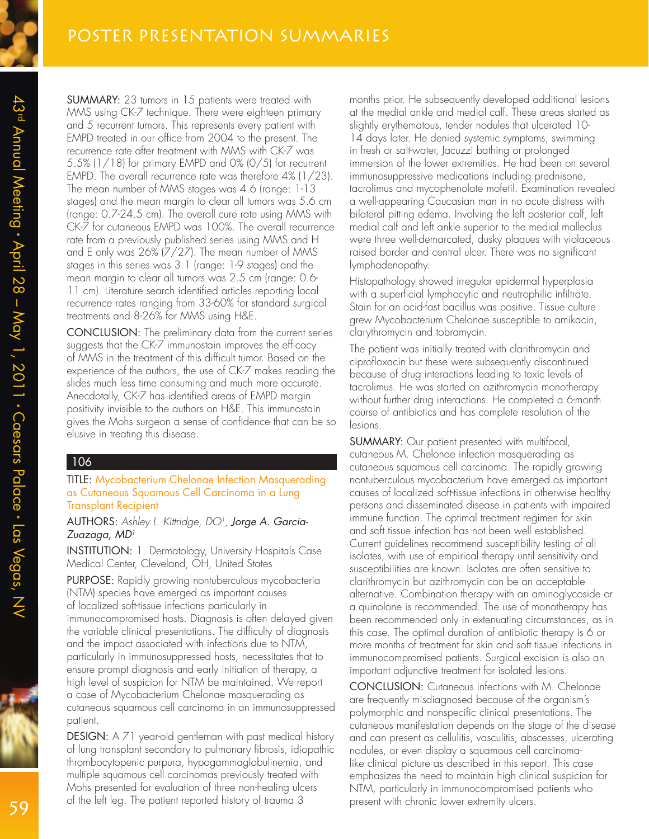SUMMARY: 23 tumors in 15 patients were treated with MMS using CK-7 technique. There were eighteen primary and 5 recurrent tumors. This represents every patient with EMPD treated in our office from 2004 to the present. The recurrence rate after treatment with MMS with CK-7 was 5.5% (1/18) for primary EMPD and 0% (0/5) for recurrent EMPD. The overall recurrence rate was therefore 4% (1/23). The mean number of MMS stages was 4.6 (range: 1-13 stages) and the mean margin to clear all tumors was 5.6 cm (range: 0.7-24.5 cm). The overall cure rate using MMS with CK-7 for cutaneous EMPD was 100%. The overall recurrence rate from a previously published series using MMS and H and E only was 26% (7/27). The mean number of MMS stages in this series was 3.1 (range: 1-9 stages) and the mean margin to clear all tumors was 2.5 cm (range: 0.6- 11 cm). Literature search identified articles reporting local recurrence rates ranging from 33-60% for standard surgical treatments and 8-26% for MMS using H&E.

CONCLUSION: The preliminary data from the current series suggests that the CK-7 immunostain improves the efficacy of MMS in the treatment of this difficult tumor. Based on the experience of the authors, the use of CK-7 makes reading the slides much less time consuming and much more accurate. Anecdotally, CK-7 has identified areas of EMPD margin positivity invisible to the authors on H&E. This immunostain gives the Mohs surgeon a sense of confidence that can be so elusive in treating this disease.

#### 106

TITLE: Mycobacterium Chelonae Infection Masquerading as Cutaneous Squamous Cell Carcinoma in a Lung Transplant Recipient

AUTHORS: Ashley L. Kittridge, DO<sup>1</sup>, **Jorge A. Garcia-**Zuazaga, MD<sup>1</sup>

INSTITUTION: 1. Dermatology, University Hospitals Case Medical Center, Cleveland, OH, United States

PURPOSE: Rapidly growing nontuberculous mycobacteria (NTM) species have emerged as important causes of localized soft-tissue infections particularly in immunocompromised hosts. Diagnosis is often delayed given the variable clinical presentations. The difficulty of diagnosis and the impact associated with infections due to NTM, particularly in immunosuppressed hosts, necessitates that to ensure prompt diagnosis and early initiation of therapy, a high level of suspicion for NTM be maintained. We report a case of Mycobacterium Chelonae masquerading as cutaneous squamous cell carcinoma in an immunosuppressed patient.

DESIGN: A 71 year-old gentleman with past medical history of lung transplant secondary to pulmonary fibrosis, idiopathic thrombocytopenic purpura, hypogammaglobulinemia, and multiple squamous cell carcinomas previously treated with Mohs presented for evaluation of three non-healing ulcers of the left leg. The patient reported history of trauma 3

months prior. He subsequently developed additional lesions at the medial ankle and medial calf. These areas started as slightly erythematous, tender nodules that ulcerated 10- 14 days later. He denied systemic symptoms, swimming in fresh or salt-water, Jacuzzi bathing or prolonged immersion of the lower extremities. He had been on several immunosuppressive medications including prednisone, tacrolimus and mycophenolate mofetil. Examination revealed a well-appearing Caucasian man in no acute distress with bilateral pitting edema. Involving the left posterior calf, left medial calf and left ankle superior to the medial malleolus were three well-demarcated, dusky plaques with violaceous raised border and central ulcer. There was no significant lymphadenopathy.

Histopathology showed irregular epidermal hyperplasia with a superficial lymphocytic and neutrophilic infiltrate. Stain for an acid-fast bacillus was positive. Tissue culture grew Mycobacterium Chelonae susceptible to amikacin, clarythromycin and tobramycin.

The patient was initially treated with clarithromycin and ciprofloxacin but these were subsequently discontinued because of drug interactions leading to toxic levels of tacrolimus. He was started on azithromycin monotherapy without further drug interactions. He completed a 6-month course of antibiotics and has complete resolution of the lesions.

SUMMARY: Our patient presented with multifocal, cutaneous M. Chelonae infection masquerading as cutaneous squamous cell carcinoma. The rapidly growing nontuberculous mycobacterium have emerged as important causes of localized soft-tissue infections in otherwise healthy persons and disseminated disease in patients with impaired immune function. The optimal treatment regimen for skin and soft tissue infection has not been well established. Current guidelines recommend susceptibility testing of all isolates, with use of empirical therapy until sensitivity and susceptibilities are known. Isolates are often sensitive to clarithromycin but azithromycin can be an acceptable alternative. Combination therapy with an aminoglycoside or a quinolone is recommended. The use of monotherapy has been recommended only in extenuating circumstances, as in this case. The optimal duration of antibiotic therapy is 6 or more months of treatment for skin and soft tissue infections in immunocompromised patients. Surgical excision is also an important adjunctive treatment for isolated lesions.

CONCLUSION: Cutaneous infections with M. Chelonae are frequently misdiagnosed because of the organism's polymorphic and nonspecific clinical presentations. The cutaneous manifestation depends on the stage of the disease and can present as cellulitis, vasculitis, abscesses, ulcerating nodules, or even display a squamous cell carcinomalike clinical picture as described in this report. This case emphasizes the need to maintain high clinical suspicion for NTM, particularly in immunocompromised patients who present with chronic lower extremity ulcers.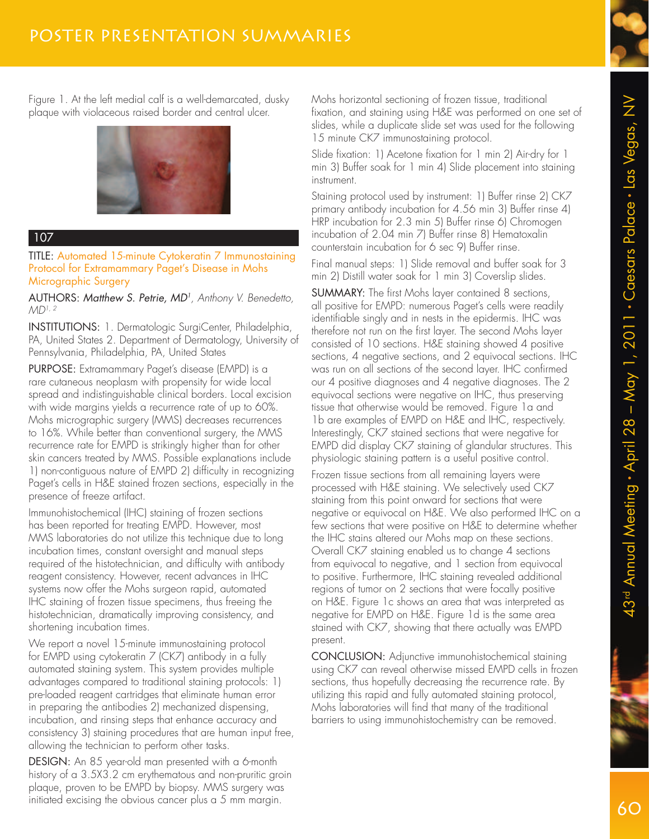Figure 1. At the left medial calf is a well-demarcated, dusky plaque with violaceous raised border and central ulcer.



## 107

TITLE: Automated 15-minute Cytokeratin 7 Immunostaining Protocol for Extramammary Paget's Disease in Mohs Micrographic Surgery

AUTHORS: Matthew S. Petrie, MD<sup>1</sup>, Anthony V. Benedetto,  $MD<sup>1, 2</sup>$ 

INSTITUTIONS: 1. Dermatologic SurgiCenter, Philadelphia, PA, United States 2. Department of Dermatology, University of Pennsylvania, Philadelphia, PA, United States

PURPOSE: Extramammary Paget's disease (EMPD) is a rare cutaneous neoplasm with propensity for wide local spread and indistinguishable clinical borders. Local excision with wide margins yields a recurrence rate of up to 60%. Mohs micrographic surgery (MMS) decreases recurrences to 16%. While better than conventional surgery, the MMS recurrence rate for EMPD is strikingly higher than for other skin cancers treated by MMS. Possible explanations include 1) non-contiguous nature of EMPD 2) difficulty in recognizing Paget's cells in H&E stained frozen sections, especially in the presence of freeze artifact.

Immunohistochemical (IHC) staining of frozen sections has been reported for treating EMPD. However, most MMS laboratories do not utilize this technique due to long incubation times, constant oversight and manual steps required of the histotechnician, and difficulty with antibody reagent consistency. However, recent advances in IHC systems now offer the Mohs surgeon rapid, automated IHC staining of frozen tissue specimens, thus freeing the histotechnician, dramatically improving consistency, and shortening incubation times.

We report a novel 15-minute immunostaining protocol for EMPD using cytokeratin 7 (CK7) antibody in a fully automated staining system. This system provides multiple advantages compared to traditional staining protocols: 1) pre-loaded reagent cartridges that eliminate human error in preparing the antibodies 2) mechanized dispensing, incubation, and rinsing steps that enhance accuracy and consistency 3) staining procedures that are human input free, allowing the technician to perform other tasks.

DESIGN: An 85 year-old man presented with a 6-month history of a 3.5X3.2 cm erythematous and non-pruritic groin plaque, proven to be EMPD by biopsy. MMS surgery was initiated excising the obvious cancer plus a 5 mm margin.

Mohs horizontal sectioning of frozen tissue, traditional fixation, and staining using H&E was performed on one set of slides, while a duplicate slide set was used for the following 15 minute CK7 immunostaining protocol.

Slide fixation: 1) Acetone fixation for 1 min 2) Air-dry for 1 min 3) Buffer soak for 1 min 4) Slide placement into staining instrument.

Staining protocol used by instrument: 1) Buffer rinse 2) CK7 primary antibody incubation for 4.56 min 3) Buffer rinse 4) HRP incubation for 2.3 min 5) Buffer rinse 6) Chromogen incubation of 2.04 min 7) Buffer rinse 8) Hematoxalin counterstain incubation for 6 sec 9) Buffer rinse.

Final manual steps: 1) Slide removal and buffer soak for 3 min 2) Distill water soak for 1 min 3) Coverslip slides.

SUMMARY: The first Mohs layer contained 8 sections, all positive for EMPD: numerous Paget's cells were readily identifiable singly and in nests in the epidermis. IHC was therefore not run on the first layer. The second Mohs layer consisted of 10 sections. H&E staining showed 4 positive sections, 4 negative sections, and 2 equivocal sections. IHC was run on all sections of the second layer. IHC confirmed our 4 positive diagnoses and 4 negative diagnoses. The 2 equivocal sections were negative on IHC, thus preserving tissue that otherwise would be removed. Figure 1a and 1b are examples of EMPD on H&E and IHC, respectively. Interestingly, CK7 stained sections that were negative for EMPD did display CK7 staining of glandular structures. This physiologic staining pattern is a useful positive control.

Frozen tissue sections from all remaining layers were processed with H&E staining. We selectively used CK7 staining from this point onward for sections that were negative or equivocal on H&E. We also performed IHC on a few sections that were positive on H&E to determine whether the IHC stains altered our Mohs map on these sections. Overall CK7 staining enabled us to change 4 sections from equivocal to negative, and 1 section from equivocal to positive. Furthermore, IHC staining revealed additional regions of tumor on 2 sections that were focally positive on H&E. Figure 1c shows an area that was interpreted as negative for EMPD on H&E. Figure 1d is the same area stained with CK7, showing that there actually was EMPD present.

CONCLUSION: Adjunctive immunohistochemical staining using CK7 can reveal otherwise missed EMPD cells in frozen sections, thus hopefully decreasing the recurrence rate. By utilizing this rapid and fully automated staining protocol, Mohs laboratories will find that many of the traditional barriers to using immunohistochemistry can be removed.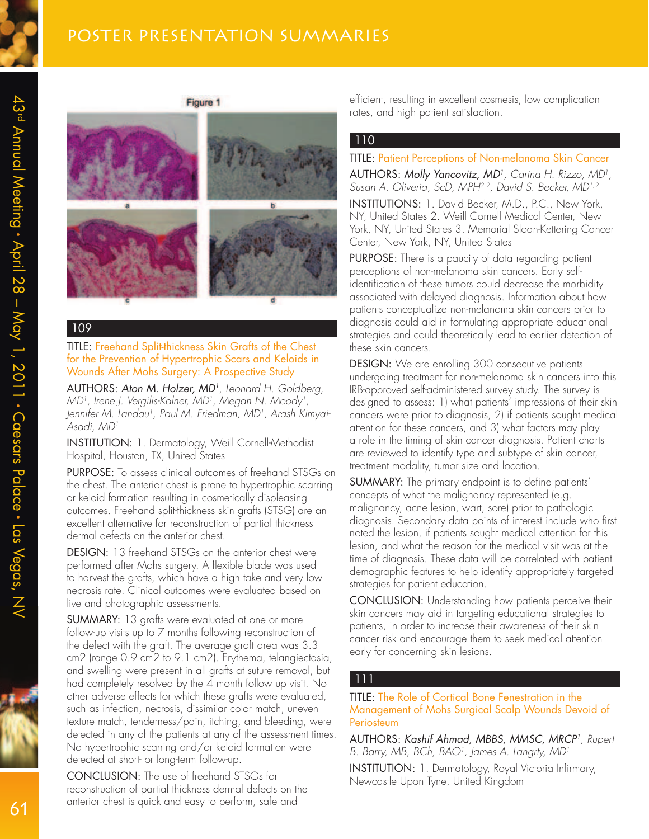

Figure 1

#### 109

TITLE: Freehand Split-thickness Skin Grafts of the Chest for the Prevention of Hypertrophic Scars and Keloids in Wounds After Mohs Surgery: A Prospective Study

AUTHORS: Aton M. Holzer, MD<sup>1</sup>, Leonard H. Goldberg, MD<sup>1</sup>, Irene J. Vergilis-Kalner, MD<sup>1</sup>, Megan N. Moody<sup>1</sup>, Jennifer M. Landau<sup>1</sup>, Paul M. Friedman, MD<sup>1</sup>, Arash Kimyai-Asadi, MD<sup>1</sup>

INSTITUTION: 1. Dermatology, Weill Cornell-Methodist Hospital, Houston, TX, United States

PURPOSE: To assess clinical outcomes of freehand STSGs on the chest. The anterior chest is prone to hypertrophic scarring or keloid formation resulting in cosmetically displeasing outcomes. Freehand split-thickness skin grafts (STSG) are an excellent alternative for reconstruction of partial thickness dermal defects on the anterior chest.

DESIGN: 13 freehand STSGs on the anterior chest were performed after Mohs surgery. A flexible blade was used to harvest the grafts, which have a high take and very low necrosis rate. Clinical outcomes were evaluated based on live and photographic assessments.

SUMMARY: 13 grafts were evaluated at one or more follow-up visits up to 7 months following reconstruction of the defect with the graft. The average graft area was 3.3 cm2 (range 0.9 cm2 to 9.1 cm2). Erythema, telangiectasia, and swelling were present in all grafts at suture removal, but had completely resolved by the 4 month follow up visit. No other adverse effects for which these grafts were evaluated, such as infection, necrosis, dissimilar color match, uneven texture match, tenderness/pain, itching, and bleeding, were detected in any of the patients at any of the assessment times. No hypertrophic scarring and/or keloid formation were detected at short- or long-term follow-up.

CONCLUSION: The use of freehand STSGs for reconstruction of partial thickness dermal defects on the anterior chest is quick and easy to perform, safe and

efficient, resulting in excellent cosmesis, low complication rates, and high patient satisfaction.

#### 110

#### TITLE: Patient Perceptions of Non-melanoma Skin Cancer

AUTHORS: Molly Yancovitz, MD<sup>1</sup>, Carina H. Rizzo, MD<sup>1</sup>, Susan A. Oliveria, ScD, MPH<sup>3,2</sup>, David S. Becker, MD<sup>1,2</sup>

INSTITUTIONS: 1. David Becker, M.D., P.C., New York, NY, United States 2. Weill Cornell Medical Center, New York, NY, United States 3. Memorial Sloan-Kettering Cancer Center, New York, NY, United States

PURPOSE: There is a paucity of data regarding patient perceptions of non-melanoma skin cancers. Early selfidentification of these tumors could decrease the morbidity associated with delayed diagnosis. Information about how patients conceptualize non-melanoma skin cancers prior to diagnosis could aid in formulating appropriate educational strategies and could theoretically lead to earlier detection of these skin cancers.

DESIGN: We are enrolling 300 consecutive patients undergoing treatment for non-melanoma skin cancers into this IRB-approved self-administered survey study. The survey is designed to assess: 1) what patients' impressions of their skin cancers were prior to diagnosis, 2) if patients sought medical attention for these cancers, and 3) what factors may play a role in the timing of skin cancer diagnosis. Patient charts are reviewed to identify type and subtype of skin cancer, treatment modality, tumor size and location.

SUMMARY: The primary endpoint is to define patients' concepts of what the malignancy represented (e.g. malignancy, acne lesion, wart, sore) prior to pathologic diagnosis. Secondary data points of interest include who first noted the lesion, if patients sought medical attention for this lesion, and what the reason for the medical visit was at the time of diagnosis. These data will be correlated with patient demographic features to help identify appropriately targeted strategies for patient education.

CONCLUSION: Understanding how patients perceive their skin cancers may aid in targeting educational strategies to patients, in order to increase their awareness of their skin cancer risk and encourage them to seek medical attention early for concerning skin lesions.

#### 111

TITLE: The Role of Cortical Bone Fenestration in the Management of Mohs Surgical Scalp Wounds Devoid of **Periosteum** 

AUTHORS: Kashif Ahmad, MBBS, MMSC, MRCP<sup>1</sup> , Rupert B. Barry, MB, BCh, BAO<sup>1</sup>, James A. Langrty, MD<sup>1</sup>

INSTITUTION: 1. Dermatology, Royal Victoria Infirmary, Newcastle Upon Tyne, United Kingdom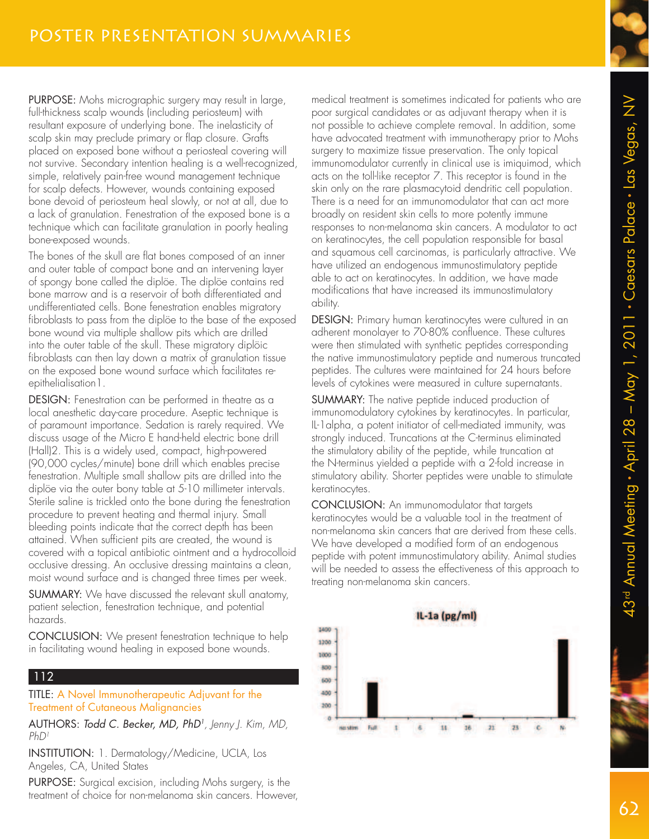PURPOSE: Mohs micrographic surgery may result in large, full-thickness scalp wounds (including periosteum) with resultant exposure of underlying bone. The inelasticity of scalp skin may preclude primary or flap closure. Grafts placed on exposed bone without a periosteal covering will not survive. Secondary intention healing is a well-recognized, simple, relatively pain-free wound management technique for scalp defects. However, wounds containing exposed bone devoid of periosteum heal slowly, or not at all, due to a lack of granulation. Fenestration of the exposed bone is a technique which can facilitate granulation in poorly healing bone-exposed wounds.

The bones of the skull are flat bones composed of an inner and outer table of compact bone and an intervening layer of spongy bone called the diplöe. The diplöe contains red bone marrow and is a reservoir of both differentiated and undifferentiated cells. Bone fenestration enables migratory fibroblasts to pass from the diplöe to the base of the exposed bone wound via multiple shallow pits which are drilled into the outer table of the skull. These migratory diplöic fibroblasts can then lay down a matrix of granulation tissue on the exposed bone wound surface which facilitates reepithelialisation 1.

DESIGN: Fenestration can be performed in theatre as a local anesthetic day-care procedure. Aseptic technique is of paramount importance. Sedation is rarely required. We discuss usage of the Micro E hand-held electric bone drill (Hall)2. This is a widely used, compact, high-powered (90,000 cycles/minute) bone drill which enables precise fenestration. Multiple small shallow pits are drilled into the diplöe via the outer bony table at 5-10 millimeter intervals. Sterile saline is trickled onto the bone during the fenestration procedure to prevent heating and thermal injury. Small bleeding points indicate that the correct depth has been attained. When sufficient pits are created, the wound is covered with a topical antibiotic ointment and a hydrocolloid occlusive dressing. An occlusive dressing maintains a clean, moist wound surface and is changed three times per week.

SUMMARY: We have discussed the relevant skull anatomy, patient selection, fenestration technique, and potential hazards.

CONCLUSION: We present fenestration technique to help in facilitating wound healing in exposed bone wounds.

## 112

TITLE: A Novel Immunotherapeutic Adjuvant for the Treatment of Cutaneous Malignancies

AUTHORS: Todd C. Becker, MD, PhD<sup>1</sup> , Jenny J. Kim, MD, PhD1

INSTITUTION: 1. Dermatology/Medicine, UCLA, Los Angeles, CA, United States

PURPOSE: Surgical excision, including Mohs surgery, is the treatment of choice for non-melanoma skin cancers. However,

medical treatment is sometimes indicated for patients who are poor surgical candidates or as adjuvant therapy when it is not possible to achieve complete removal. In addition, some have advocated treatment with immunotherapy prior to Mohs surgery to maximize tissue preservation. The only topical immunomodulator currently in clinical use is imiquimod, which acts on the toll-like receptor 7. This receptor is found in the skin only on the rare plasmacytoid dendritic cell population. There is a need for an immunomodulator that can act more broadly on resident skin cells to more potently immune responses to non-melanoma skin cancers. A modulator to act on keratinocytes, the cell population responsible for basal and squamous cell carcinomas, is particularly attractive. We have utilized an endogenous immunostimulatory peptide able to act on keratinocytes. In addition, we have made modifications that have increased its immunostimulatory ability.

DESIGN: Primary human keratinocytes were cultured in an adherent monolayer to 70-80% confluence. These cultures were then stimulated with synthetic peptides corresponding the native immunostimulatory peptide and numerous truncated peptides. The cultures were maintained for 24 hours before levels of cytokines were measured in culture supernatants.

SUMMARY: The native peptide induced production of immunomodulatory cytokines by keratinocytes. In particular, IL-1alpha, a potent initiator of cell-mediated immunity, was strongly induced. Truncations at the C-terminus eliminated the stimulatory ability of the peptide, while truncation at the N-terminus yielded a peptide with a 2-fold increase in stimulatory ability. Shorter peptides were unable to stimulate keratinocytes.

CONCLUSION: An immunomodulator that targets keratinocytes would be a valuable tool in the treatment of non-melanoma skin cancers that are derived from these cells. We have developed a modified form of an endogenous peptide with potent immunostimulatory ability. Animal studies will be needed to assess the effectiveness of this approach to treating non-melanoma skin cancers.



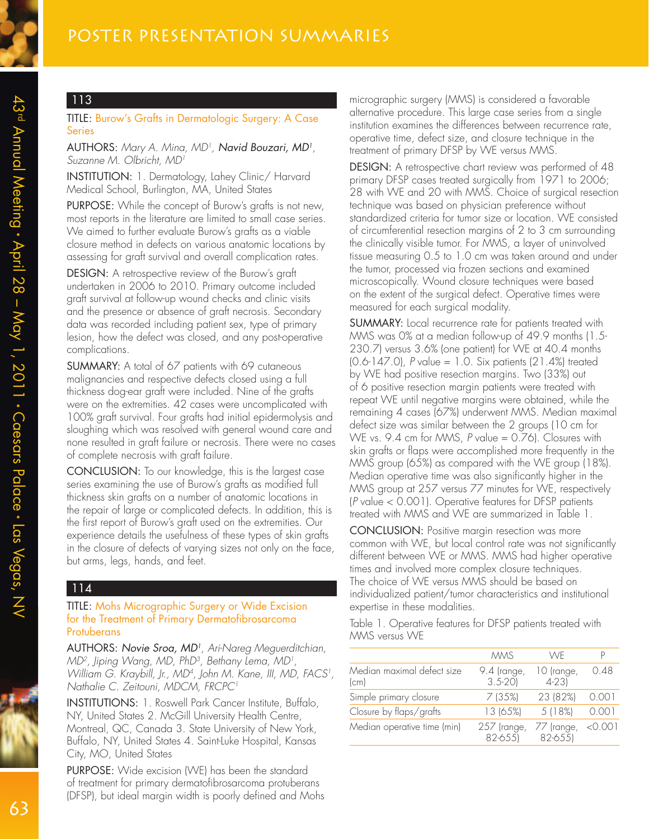#### TITLE: Burow's Grafts in Dermatologic Surgery: A Case Series

AUTHORS: Mary A. Mina, MD<sup>1</sup>, **Navid Bouzari, MD<sup>1</sup>,** Suzanne M. Olbricht, MD<sup>1</sup>

INSTITUTION: 1. Dermatology, Lahey Clinic/ Harvard Medical School, Burlington, MA, United States

PURPOSE: While the concept of Burow's grafts is not new, most reports in the literature are limited to small case series. We aimed to further evaluate Burow's grafts as a viable closure method in defects on various anatomic locations by assessing for graft survival and overall complication rates.

DESIGN: A retrospective review of the Burow's graft undertaken in 2006 to 2010. Primary outcome included graft survival at follow-up wound checks and clinic visits and the presence or absence of graft necrosis. Secondary data was recorded including patient sex, type of primary lesion, how the defect was closed, and any post-operative complications.

SUMMARY: A total of 67 patients with 69 cutaneous malignancies and respective defects closed using a full thickness dog-ear graft were included. Nine of the grafts were on the extremities. 42 cases were uncomplicated with 100% graft survival. Four grafts had initial epidermolysis and sloughing which was resolved with general wound care and none resulted in graft failure or necrosis. There were no cases of complete necrosis with graft failure.

CONCLUSION: To our knowledge, this is the largest case series examining the use of Burow's grafts as modified full thickness skin grafts on a number of anatomic locations in the repair of large or complicated defects. In addition, this is the first report of Burow's graft used on the extremities. Our experience details the usefulness of these types of skin grafts in the closure of defects of varying sizes not only on the face, but arms, legs, hands, and feet.

#### 114

#### TITLE: Mohs Micrographic Surgery or Wide Excision for the Treatment of Primary Dermatofibrosarcoma **Protuberans**

AUTHORS: Novie Sroa, MD<sup>1</sup>, Ari-Nareg Meguerditchian, MD<sup>2</sup>, Jiping Wang, MD, PhD<sup>3</sup>, Bethany Lema, MD<sup>1</sup>, William G. Kraybill, Jr., MD<sup>4</sup> , John M. Kane, III, MD, FACS<sup>1</sup> , Nathalie C. Zeitouni, MDCM, FRCPC<sup>1</sup>

INSTITUTIONS: 1. Roswell Park Cancer Institute, Buffalo, NY, United States 2. McGill University Health Centre, Montreal, QC, Canada 3. State University of New York, Buffalo, NY, United States 4. Saint-Luke Hospital, Kansas City, MO, United States

PURPOSE: Wide excision (WE) has been the standard of treatment for primary dermatofibrosarcoma protuberans (DFSP), but ideal margin width is poorly defined and Mohs micrographic surgery (MMS) is considered a favorable alternative procedure. This large case series from a single institution examines the differences between recurrence rate, operative time, defect size, and closure technique in the treatment of primary DFSP by WE versus MMS.

DESIGN: A retrospective chart review was performed of 48 primary DFSP cases treated surgically from 1971 to 2006; 28 with WE and 20 with MMS. Choice of surgical resection technique was based on physician preference without standardized criteria for tumor size or location. WE consisted of circumferential resection margins of 2 to 3 cm surrounding the clinically visible tumor. For MMS, a layer of uninvolved tissue measuring 0.5 to 1.0 cm was taken around and under the tumor, processed via frozen sections and examined microscopically. Wound closure techniques were based on the extent of the surgical defect. Operative times were measured for each surgical modality.

SUMMARY: Local recurrence rate for patients treated with MMS was 0% at a median follow-up of 49.9 months (1.5- 230.7) versus 3.6% (one patient) for WE at 40.4 months (0.6-147.0), P value = 1.0. Six patients (21.4%) treated by WE had positive resection margins. Two (33%) out of 6 positive resection margin patients were treated with repeat WE until negative margins were obtained, while the remaining 4 cases (67%) underwent MMS. Median maximal defect size was similar between the 2 groups (10 cm for WE vs. 9.4 cm for MMS, P value = 0.76). Closures with skin grafts or flaps were accomplished more frequently in the MMS group (65%) as compared with the WE group (18%). Median operative time was also significantly higher in the MMS group at 257 versus 77 minutes for WE, respectively (P value < 0.001). Operative features for DFSP patients treated with MMS and WE are summarized in Table 1.

CONCLUSION: Positive margin resection was more common with WE, but local control rate was not significantly different between WE or MMS. MMS had higher operative times and involved more complex closure techniques. The choice of WE versus MMS should be based on individualized patient/tumor characteristics and institutional expertise in these modalities.

Table 1. Operative features for DFSP patients treated with MMS versus WE

|                                    | <b>MMS</b>                | WF                      |         |
|------------------------------------|---------------------------|-------------------------|---------|
| Median maximal defect size<br>(cm) | 9.4 (range,<br>$3.5 - 20$ | 10 (range,<br>$4 - 231$ | 0.48    |
| Simple primary closure             | 7(35%)                    | 23 (82%)                | 0.001   |
| Closure by flaps/grafts            | 13 (65%)                  | 5 (18%)                 | 0.001   |
| Median operative time (min)        | 257 (range,<br>82-655)    | 77 (range,<br>82-655)   | < 0.001 |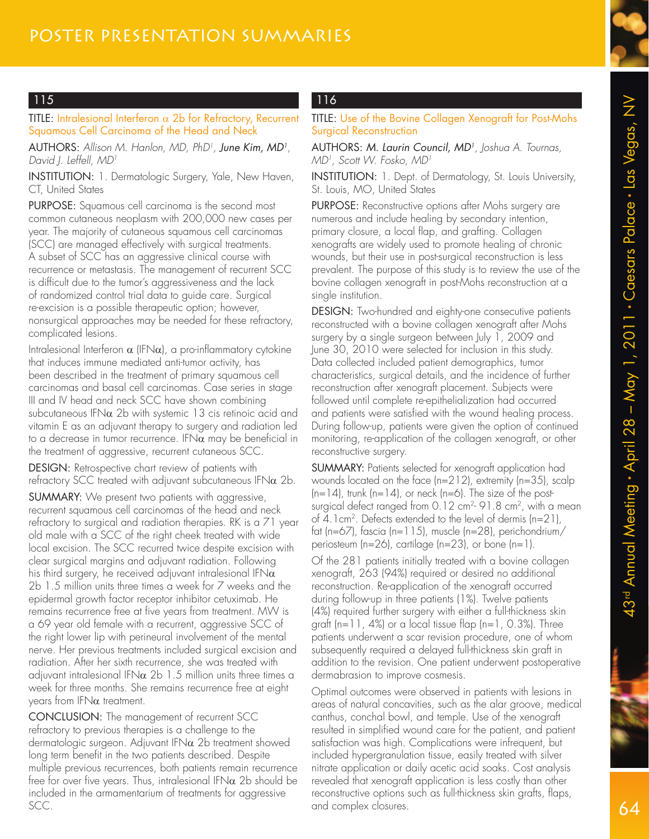TITLE: Intralesional Interferon  $\alpha$  2b for Refractory, Recurrent Squamous Cell Carcinoma of the Head and Neck

AUTHORS: Allison M. Hanlon, MD, PhD<sup>1</sup>, **June Kim, MD<sup>1</sup>**, David I. Leffell, MD<sup>1</sup>

INSTITUTION: 1. Dermatologic Surgery, Yale, New Haven, CT, United States

PURPOSE: Squamous cell carcinoma is the second most common cutaneous neoplasm with 200,000 new cases per year. The majority of cutaneous squamous cell carcinomas (SCC) are managed effectively with surgical treatments. A subset of SCC has an aggressive clinical course with recurrence or metastasis. The management of recurrent SCC is difficult due to the tumor's aggressiveness and the lack of randomized control trial data to guide care. Surgical re-excision is a possible therapeutic option; however, nonsurgical approaches may be needed for these refractory, complicated lesions.

Intralesional Interferon  $\alpha$  (IFN $\alpha$ ), a pro-inflammatory cytokine that induces immune mediated anti-tumor activity, has been described in the treatment of primary squamous cell carcinomas and basal cell carcinomas. Case series in stage III and IV head and neck SCC have shown combining subcutaneous IFN $\alpha$  2b with systemic 13 cis retinoic acid and vitamin E as an adjuvant therapy to surgery and radiation led to a decrease in tumor recurrence. IFN $\alpha$  may be beneficial in the treatment of aggressive, recurrent cutaneous SCC.

DESIGN: Retrospective chart review of patients with refractory SCC treated with adjuvant subcutaneous IFN $\alpha$  2b.

SUMMARY: We present two patients with aggressive, recurrent squamous cell carcinomas of the head and neck refractory to surgical and radiation therapies. RK is a 71 year old male with a SCC of the right cheek treated with wide local excision. The SCC recurred twice despite excision with clear surgical margins and adjuvant radiation. Following his third surgery, he received adjuvant intralesional IFN $\alpha$ 2b 1.5 million units three times a week for 7 weeks and the epidermal growth factor receptor inhibitor cetuximab. He remains recurrence free at five years from treatment. MW is a 69 year old female with a recurrent, aggressive SCC of the right lower lip with perineural involvement of the mental nerve. Her previous treatments included surgical excision and radiation. After her sixth recurrence, she was treated with adjuvant intralesional IFN $\alpha$  2b 1.5 million units three times a week for three months. She remains recurrence free at eight years from  $IFN\alpha$  treatment.

CONCLUSION: The management of recurrent SCC refractory to previous therapies is a challenge to the dermatologic surgeon. Adjuvant IFN $\alpha$  2b treatment showed long term benefit in the two patients described. Despite multiple previous recurrences, both patients remain recurrence free for over five years. Thus, intralesional IFN $\alpha$  2b should be included in the armamentarium of treatments for aggressive SCC.

# 116

TITLE: Use of the Bovine Collagen Xenograft for Post-Mohs Surgical Reconstruction

AUTHORS: M. Laurin Council, MD<sup>1</sup>, Joshua A. Tournas, MD1 , Scott W. Fosko, MD<sup>1</sup>

INSTITUTION: 1. Dept. of Dermatology, St. Louis University, St. Louis, MO, United States

PURPOSE: Reconstructive options after Mohs surgery are numerous and include healing by secondary intention, primary closure, a local flap, and grafting. Collagen xenografts are widely used to promote healing of chronic wounds, but their use in post-surgical reconstruction is less prevalent. The purpose of this study is to review the use of the bovine collagen xenograft in post-Mohs reconstruction at a single institution.

DESIGN: Two-hundred and eighty-one consecutive patients reconstructed with a bovine collagen xenograft after Mohs surgery by a single surgeon between July 1, 2009 and June 30, 2010 were selected for inclusion in this study. Data collected included patient demographics, tumor characteristics, surgical details, and the incidence of further reconstruction after xenograft placement. Subjects were followed until complete re-epithelialization had occurred and patients were satisfied with the wound healing process. During follow-up, patients were given the option of continued monitoring, re-application of the collagen xenograft, or other reconstructive surgery.

SUMMARY: Patients selected for xenograft application had wounds located on the face (n=212), extremity (n=35), scalp  $(n=14)$ , trunk  $(n=14)$ , or neck  $(n=6)$ . The size of the postsurgical defect ranged from 0.12 cm<sup>2</sup>- 91.8 cm<sup>2</sup>, with a mean of 4.1cm<sup>2</sup> . Defects extended to the level of dermis (n=21), fat (n=67), fascia (n=115), muscle (n=28), perichondrium/ periosteum (n=26), cartilage (n=23), or bone (n=1).

Of the 281 patients initially treated with a bovine collagen xenograft, 263 (94%) required or desired no additional reconstruction. Re-application of the xenograft occurred during follow-up in three patients (1%). Twelve patients (4%) required further surgery with either a full-thickness skin graft (n=11, 4%) or a local tissue flap (n=1, 0.3%). Three patients underwent a scar revision procedure, one of whom subsequently required a delayed full-thickness skin graft in addition to the revision. One patient underwent postoperative dermabrasion to improve cosmesis.

Optimal outcomes were observed in patients with lesions in areas of natural concavities, such as the alar groove, medical canthus, conchal bowl, and temple. Use of the xenograft resulted in simplified wound care for the patient, and patient satisfaction was high. Complications were infrequent, but included hypergranulation tissue, easily treated with silver nitrate application or daily acetic acid soaks. Cost analysis revealed that xenograft application is less costly than other reconstructive options such as full-thickness skin grafts, flaps, and complex closures.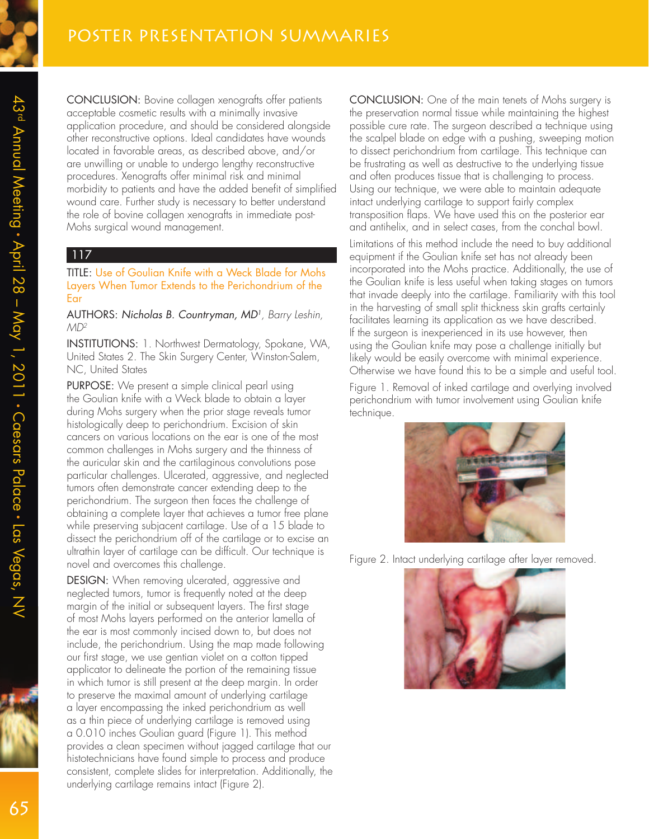CONCLUSION: Bovine collagen xenografts offer patients acceptable cosmetic results with a minimally invasive application procedure, and should be considered alongside other reconstructive options. Ideal candidates have wounds located in favorable areas, as described above, and/or are unwilling or unable to undergo lengthy reconstructive procedures. Xenografts offer minimal risk and minimal morbidity to patients and have the added benefit of simplified wound care. Further study is necessary to better understand the role of bovine collagen xenografts in immediate post-Mohs surgical wound management.

#### 117

TITLE: Use of Goulian Knife with a Weck Blade for Mohs Layers When Tumor Extends to the Perichondrium of the Ear

AUTHORS: Nicholas B. Countryman, MD<sup>1</sup> , Barry Leshin, MD2

INSTITUTIONS: 1. Northwest Dermatology, Spokane, WA, United States 2. The Skin Surgery Center, Winston-Salem, NC, United States

PURPOSE: We present a simple clinical pearl using the Goulian knife with a Weck blade to obtain a layer during Mohs surgery when the prior stage reveals tumor histologically deep to perichondrium. Excision of skin cancers on various locations on the ear is one of the most common challenges in Mohs surgery and the thinness of the auricular skin and the cartilaginous convolutions pose particular challenges. Ulcerated, aggressive, and neglected tumors often demonstrate cancer extending deep to the perichondrium. The surgeon then faces the challenge of obtaining a complete layer that achieves a tumor free plane while preserving subjacent cartilage. Use of a 15 blade to dissect the perichondrium off of the cartilage or to excise an ultrathin layer of cartilage can be difficult. Our technique is novel and overcomes this challenge.

DESIGN: When removing ulcerated, aggressive and neglected tumors, tumor is frequently noted at the deep margin of the initial or subsequent layers. The first stage of most Mohs layers performed on the anterior lamella of the ear is most commonly incised down to, but does not include, the perichondrium. Using the map made following our first stage, we use gentian violet on a cotton tipped applicator to delineate the portion of the remaining tissue in which tumor is still present at the deep margin. In order to preserve the maximal amount of underlying cartilage a layer encompassing the inked perichondrium as well as a thin piece of underlying cartilage is removed using a 0.010 inches Goulian guard (Figure 1). This method provides a clean specimen without jagged cartilage that our histotechnicians have found simple to process and produce consistent, complete slides for interpretation. Additionally, the underlying cartilage remains intact (Figure 2).

CONCLUSION: One of the main tenets of Mohs surgery is the preservation normal tissue while maintaining the highest possible cure rate. The surgeon described a technique using the scalpel blade on edge with a pushing, sweeping motion to dissect perichondrium from cartilage. This technique can be frustrating as well as destructive to the underlying tissue and often produces tissue that is challenging to process. Using our technique, we were able to maintain adequate intact underlying cartilage to support fairly complex transposition flaps. We have used this on the posterior ear and antihelix, and in select cases, from the conchal bowl.

Limitations of this method include the need to buy additional equipment if the Goulian knife set has not already been incorporated into the Mohs practice. Additionally, the use of the Goulian knife is less useful when taking stages on tumors that invade deeply into the cartilage. Familiarity with this tool in the harvesting of small split thickness skin grafts certainly facilitates learning its application as we have described. If the surgeon is inexperienced in its use however, then using the Goulian knife may pose a challenge initially but likely would be easily overcome with minimal experience. Otherwise we have found this to be a simple and useful tool.

Figure 1. Removal of inked cartilage and overlying involved perichondrium with tumor involvement using Goulian knife technique.



Figure 2. Intact underlying cartilage after layer removed.

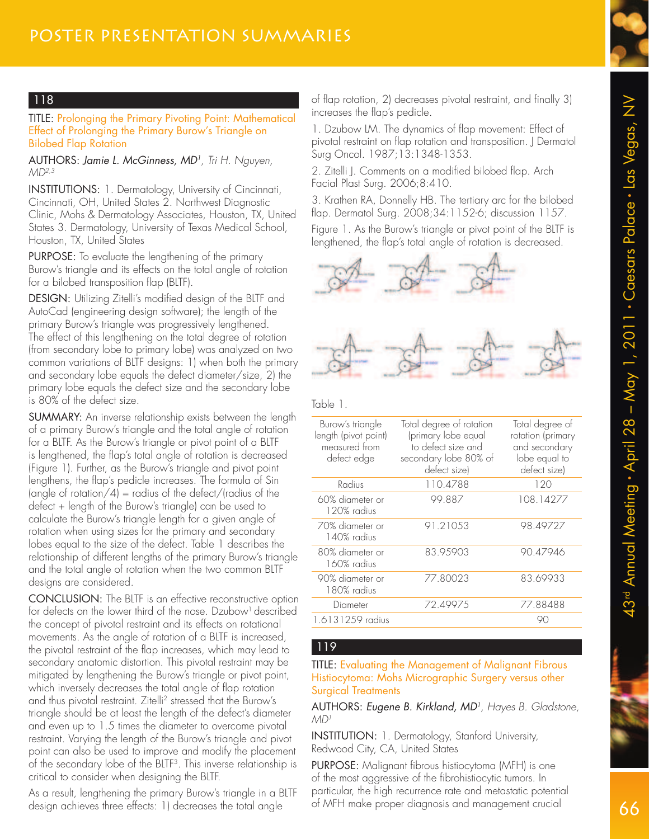

## 118

#### TITLE: Prolonging the Primary Pivoting Point: Mathematical Effect of Prolonging the Primary Burow's Triangle on Bilobed Flap Rotation

#### AUTHORS: Jamie L. McGinness, MD<sup>1</sup> , Tri H. Nguyen,  $MD<sup>2,3</sup>$

INSTITUTIONS: 1. Dermatology, University of Cincinnati, Cincinnati, OH, United States 2. Northwest Diagnostic Clinic, Mohs & Dermatology Associates, Houston, TX, United States 3. Dermatology, University of Texas Medical School, Houston, TX, United States

PURPOSE: To evaluate the lengthening of the primary Burow's triangle and its effects on the total angle of rotation for a bilobed transposition flap (BLTF).

DESIGN: Utilizing Zitelli's modified design of the BLTF and AutoCad (engineering design software); the length of the primary Burow's triangle was progressively lengthened. The effect of this lengthening on the total degree of rotation (from secondary lobe to primary lobe) was analyzed on two common variations of BLTF designs: 1) when both the primary and secondary lobe equals the defect diameter/size, 2) the primary lobe equals the defect size and the secondary lobe is 80% of the defect size.

SUMMARY: An inverse relationship exists between the length of a primary Burow's triangle and the total angle of rotation for a BLTF. As the Burow's triangle or pivot point of a BLTF is lengthened, the flap's total angle of rotation is decreased (Figure 1). Further, as the Burow's triangle and pivot point lengthens, the flap's pedicle increases. The formula of Sin (angle of rotation/4) = radius of the defect/(radius of the defect + length of the Burow's triangle) can be used to calculate the Burow's triangle length for a given angle of rotation when using sizes for the primary and secondary lobes equal to the size of the defect. Table 1 describes the relationship of different lengths of the primary Burow's triangle and the total angle of rotation when the two common BLTF designs are considered.

CONCLUSION: The BLTF is an effective reconstructive option for defects on the lower third of the nose. Dzubow<sup>1</sup> described the concept of pivotal restraint and its effects on rotational movements. As the angle of rotation of a BLTF is increased, the pivotal restraint of the flap increases, which may lead to secondary anatomic distortion. This pivotal restraint may be mitigated by lengthening the Burow's triangle or pivot point, which inversely decreases the total angle of flap rotation and thus pivotal restraint. Zitelli<sup>2</sup> stressed that the Burow's triangle should be at least the length of the defect's diameter and even up to 1.5 times the diameter to overcome pivotal restraint. Varying the length of the Burow's triangle and pivot point can also be used to improve and modify the placement of the secondary lobe of the BLTF<sup>3</sup> . This inverse relationship is critical to consider when designing the BLTF.

As a result, lengthening the primary Burow's triangle in a BLTF design achieves three effects: 1) decreases the total angle

of flap rotation, 2) decreases pivotal restraint, and finally 3) increases the flap's pedicle.

1. Dzubow LM. The dynamics of flap movement: Effect of pivotal restraint on flap rotation and transposition. J Dermatol Surg Oncol. 1987;13:1348-1353.

2. Zitelli J. Comments on a modified bilobed flap. Arch Facial Plast Surg. 2006;8:410.

3. Krathen RA, Donnelly HB. The tertiary arc for the bilobed flap. Dermatol Surg. 2008;34:1152-6; discussion 1157. Figure 1. As the Burow's triangle or pivot point of the BLTF is lengthened, the flap's total angle of rotation is decreased.





Table 1.

| Burow's triangle<br>length (pivot point)<br>measured from<br>defect edge | Total degree of rotation<br>(primary lobe equal<br>to defect size and<br>secondary lobe 80% of<br>defect size) | Total degree of<br>rotation (primary<br>and secondary<br>lobe equal to<br>defect size) |
|--------------------------------------------------------------------------|----------------------------------------------------------------------------------------------------------------|----------------------------------------------------------------------------------------|
| Radius                                                                   | 110.4788                                                                                                       | 120                                                                                    |
| 60% diameter or<br>120% radius                                           | 99.887                                                                                                         | 108.14277                                                                              |
| 70% diameter or<br>140% radius                                           | 91.21053                                                                                                       | 98.49727                                                                               |
| 80% diameter or<br>160% radius                                           | 83.95903                                                                                                       | 90.47946                                                                               |
| 90% diameter or<br>180% radius                                           | 77.80023                                                                                                       | 83.69933                                                                               |
| Diameter                                                                 | 72.49975                                                                                                       | 77.88488                                                                               |
| 1.6131259 radius                                                         |                                                                                                                |                                                                                        |

### 119

#### TITLE: Evaluating the Management of Malignant Fibrous Histiocytoma: Mohs Micrographic Surgery versus other Surgical Treatments

AUTHORS: Eugene B. Kirkland, MD<sup>1</sup> , Hayes B. Gladstone,  $MD<sup>1</sup>$ 

INSTITUTION: 1. Dermatology, Stanford University, Redwood City, CA, United States

PURPOSE: Malignant fibrous histiocytoma (MFH) is one of the most aggressive of the fibrohistiocytic tumors. In particular, the high recurrence rate and metastatic potential of MFH make proper diagnosis and management crucial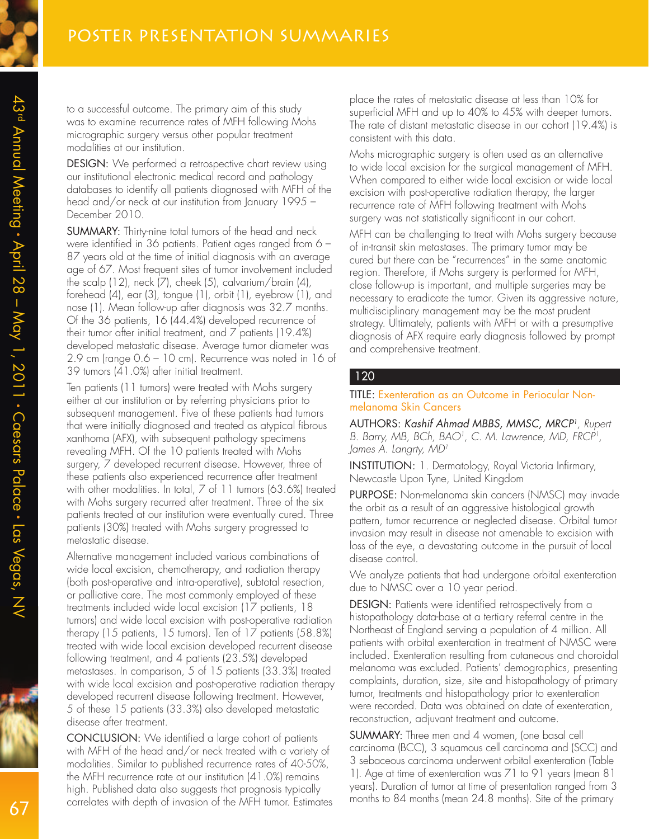to a successful outcome. The primary aim of this study was to examine recurrence rates of MFH following Mohs micrographic surgery versus other popular treatment modalities at our institution.

DESIGN: We performed a retrospective chart review using our institutional electronic medical record and pathology databases to identify all patients diagnosed with MFH of the head and/or neck at our institution from January 1995 – December 2010.

SUMMARY: Thirty-nine total tumors of the head and neck were identified in 36 patients. Patient ages ranged from 6 – 87 years old at the time of initial diagnosis with an average age of 67. Most frequent sites of tumor involvement included the scalp (12), neck (7), cheek (5), calvarium/brain (4), forehead (4), ear (3), tongue (1), orbit (1), eyebrow (1), and nose (1). Mean follow-up after diagnosis was 32.7 months. Of the 36 patients, 16 (44.4%) developed recurrence of their tumor after initial treatment, and 7 patients (19.4%) developed metastatic disease. Average tumor diameter was 2.9 cm (range 0.6 – 10 cm). Recurrence was noted in 16 of 39 tumors (41.0%) after initial treatment.

Ten patients (11 tumors) were treated with Mohs surgery either at our institution or by referring physicians prior to subsequent management. Five of these patients had tumors that were initially diagnosed and treated as atypical fibrous xanthoma (AFX), with subsequent pathology specimens revealing MFH. Of the 10 patients treated with Mohs surgery, 7 developed recurrent disease. However, three of these patients also experienced recurrence after treatment with other modalities. In total, 7 of 11 tumors (63.6%) treated with Mohs surgery recurred after treatment. Three of the six patients treated at our institution were eventually cured. Three patients (30%) treated with Mohs surgery progressed to metastatic disease.

Alternative management included various combinations of wide local excision, chemotherapy, and radiation therapy (both post-operative and intra-operative), subtotal resection, or palliative care. The most commonly employed of these treatments included wide local excision (17 patients, 18 tumors) and wide local excision with post-operative radiation therapy (15 patients, 15 tumors). Ten of 17 patients (58.8%) treated with wide local excision developed recurrent disease following treatment, and 4 patients (23.5%) developed metastases. In comparison, 5 of 15 patients (33.3%) treated with wide local excision and post-operative radiation therapy developed recurrent disease following treatment. However, 5 of these 15 patients (33.3%) also developed metastatic disease after treatment.

CONCLUSION: We identified a large cohort of patients with MFH of the head and/or neck treated with a variety of modalities. Similar to published recurrence rates of 40-50%, the MFH recurrence rate at our institution (41.0%) remains high. Published data also suggests that prognosis typically correlates with depth of invasion of the MFH tumor. Estimates

place the rates of metastatic disease at less than 10% for superficial MFH and up to 40% to 45% with deeper tumors. The rate of distant metastatic disease in our cohort (19.4%) is consistent with this data.

Mohs micrographic surgery is often used as an alternative to wide local excision for the surgical management of MFH. When compared to either wide local excision or wide local excision with post-operative radiation therapy, the larger recurrence rate of MFH following treatment with Mohs surgery was not statistically significant in our cohort.

MFH can be challenging to treat with Mohs surgery because of in-transit skin metastases. The primary tumor may be cured but there can be "recurrences" in the same anatomic region. Therefore, if Mohs surgery is performed for MFH, close follow-up is important, and multiple surgeries may be necessary to eradicate the tumor. Given its aggressive nature, multidisciplinary management may be the most prudent strategy. Ultimately, patients with MFH or with a presumptive diagnosis of AFX require early diagnosis followed by prompt and comprehensive treatment.

#### 120

#### TITLE: Exenteration as an Outcome in Periocular Nonmelanoma Skin Cancers

AUTHORS: Kashif Ahmad MBBS, MMSC, MRCP<sup>1</sup> , Rupert B. Barry, MB, BCh, BAO<sup>1</sup>, C. M. Lawrence, MD, FRCP<sup>1</sup>, James A. Langrty, MD<sup>1</sup>

INSTITUTION: 1. Dermatology, Royal Victoria Infirmary, Newcastle Upon Tyne, United Kingdom

PURPOSE: Non-melanoma skin cancers (NMSC) may invade the orbit as a result of an aggressive histological growth pattern, tumor recurrence or neglected disease. Orbital tumor invasion may result in disease not amenable to excision with loss of the eye, a devastating outcome in the pursuit of local disease control.

We analyze patients that had undergone orbital exenteration due to NMSC over a 10 year period.

DESIGN: Patients were identified retrospectively from a histopathology data-base at a tertiary referral centre in the Northeast of England serving a population of 4 million. All patients with orbital exenteration in treatment of NMSC were included. Exenteration resulting from cutaneous and choroidal melanoma was excluded. Patients' demographics, presenting complaints, duration, size, site and histopathology of primary tumor, treatments and histopathology prior to exenteration were recorded. Data was obtained on date of exenteration, reconstruction, adjuvant treatment and outcome.

SUMMARY: Three men and 4 women, (one basal cell carcinoma (BCC), 3 squamous cell carcinoma and (SCC) and 3 sebaceous carcinoma underwent orbital exenteration (Table 1). Age at time of exenteration was 71 to 91 years (mean 81 years). Duration of tumor at time of presentation ranged from 3 months to 84 months (mean 24.8 months). Site of the primary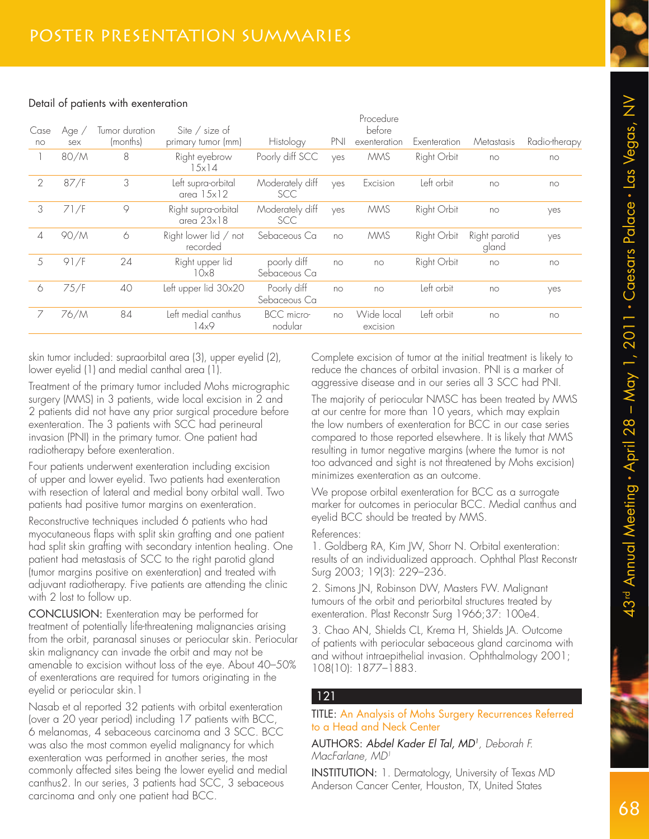

#### Detail of patients with exenteration

| Case           | Age / | Tumor duration | Site $\frac{\ }{s}$ size of              |                               |     | Procedure<br>before    |              |                        |               |
|----------------|-------|----------------|------------------------------------------|-------------------------------|-----|------------------------|--------------|------------------------|---------------|
| no             | sex   | (months)       | primary tumor (mm)                       | Histology                     | PNI | exenteration           | Exenteration | Metastasis             | Radio-therapy |
|                | 80/M  | 8              | Right eyebrow<br>$15x$ $14$              | Poorly diff SCC               | ves | <b>MMS</b>             | Right Orbit  | no                     | no            |
| $\overline{2}$ | 87/F  | 3              | Left supra-orbital<br>area $15x12$       | Moderately diff<br><b>SCC</b> | yes | Excision               | Left orbit   | no                     | no            |
| 3              | 71/F  | $\circ$        | Right supra-orbital<br>area $23\times18$ | Moderately diff<br><b>SCC</b> | ves | <b>MMS</b>             | Right Orbit  | no                     | yes           |
| 4              | 90/M  | 6              | Right lower lid / not<br>recorded        | Sebaceous Ca                  | no  | <b>MMS</b>             | Right Orbit  | Right parotid<br>gland | yes           |
| 5              | 91/F  | 24             | Right upper lid<br>10×8                  | poorly diff<br>Sebaceous Ca   | no  | no                     | Right Orbit  | no                     | no            |
| 6              | 75/F  | 40             | Left upper lid 30x20                     | Poorly diff<br>Sebaceous Ca   | no  | no                     | Left orbit   | no                     | yes           |
| 7              | 76/M  | 84             | Left medial canthus<br>14x9              | BCC micro-<br>nodular         | no  | Wide local<br>excision | Left orbit   | no                     | no            |
|                |       |                |                                          |                               |     |                        |              |                        |               |

skin tumor included: supraorbital area (3), upper eyelid (2), lower eyelid (1) and medial canthal area (1).

Treatment of the primary tumor included Mohs micrographic surgery (MMS) in 3 patients, wide local excision in 2 and 2 patients did not have any prior surgical procedure before exenteration. The 3 patients with SCC had perineural invasion (PNI) in the primary tumor. One patient had radiotherapy before exenteration.

Four patients underwent exenteration including excision of upper and lower eyelid. Two patients had exenteration with resection of lateral and medial bony orbital wall. Two patients had positive tumor margins on exenteration.

Reconstructive techniques included 6 patients who had myocutaneous flaps with split skin grafting and one patient had split skin grafting with secondary intention healing. One patient had metastasis of SCC to the right parotid gland (tumor margins positive on exenteration) and treated with adjuvant radiotherapy. Five patients are attending the clinic with 2 lost to follow up.

CONCLUSION: Exenteration may be performed for treatment of potentially life-threatening malignancies arising from the orbit, paranasal sinuses or periocular skin. Periocular skin malignancy can invade the orbit and may not be amenable to excision without loss of the eye. About 40–50% of exenterations are required for tumors originating in the eyelid or periocular skin.1

Nasab et al reported 32 patients with orbital exenteration (over a 20 year period) including 17 patients with BCC, 6 melanomas, 4 sebaceous carcinoma and 3 SCC. BCC was also the most common eyelid malignancy for which exenteration was performed in another series, the most commonly affected sites being the lower eyelid and medial canthus2. In our series, 3 patients had SCC, 3 sebaceous carcinoma and only one patient had BCC.

Complete excision of tumor at the initial treatment is likely to reduce the chances of orbital invasion. PNI is a marker of aggressive disease and in our series all 3 SCC had PNI.

The majority of periocular NMSC has been treated by MMS at our centre for more than 10 years, which may explain the low numbers of exenteration for BCC in our case series compared to those reported elsewhere. It is likely that MMS resulting in tumor negative margins (where the tumor is not too advanced and sight is not threatened by Mohs excision) minimizes exenteration as an outcome.

We propose orbital exenteration for BCC as a surrogate marker for outcomes in periocular BCC. Medial canthus and eyelid BCC should be treated by MMS.

#### References:

1. Goldberg RA, Kim JW, Shorr N. Orbital exenteration: results of an individualized approach. Ophthal Plast Reconstr Surg 2003; 19(3): 229–236.

2. Simons JN, Robinson DW, Masters FW. Malignant tumours of the orbit and periorbital structures treated by exenteration. Plast Reconstr Surg 1966;37: 100e4.

3. Chao AN, Shields CL, Krema H, Shields JA. Outcome of patients with periocular sebaceous gland carcinoma with and without intraepithelial invasion. Ophthalmology 2001; 108(10): 1877–1883.

## 121

TITLE: An Analysis of Mohs Surgery Recurrences Referred to a Head and Neck Center

AUTHORS: Abdel Kader El Tal, MD<sup>1</sup> , Deborah F. MacFarlane, MD<sup>1</sup>

INSTITUTION: 1. Dermatology, University of Texas MD Anderson Cancer Center, Houston, TX, United States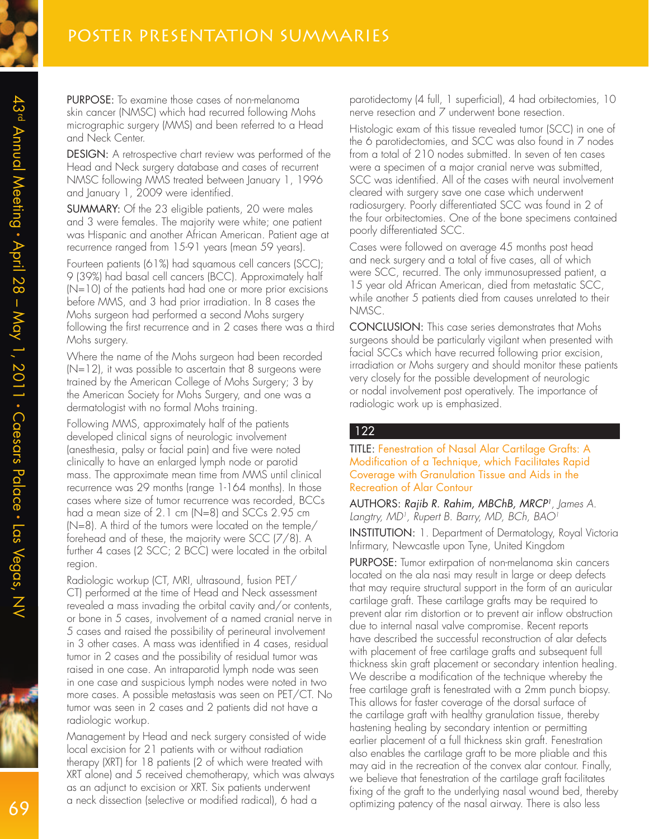

PURPOSE: To examine those cases of non-melanoma skin cancer (NMSC) which had recurred following Mohs micrographic surgery (MMS) and been referred to a Head and Neck Center.

DESIGN: A retrospective chart review was performed of the Head and Neck surgery database and cases of recurrent NMSC following MMS treated between January 1, 1996 and January 1, 2009 were identified.

SUMMARY: Of the 23 eligible patients, 20 were males and 3 were females. The majority were white; one patient was Hispanic and another African American. Patient age at recurrence ranged from 15-91 years (mean 59 years).

Fourteen patients (61%) had squamous cell cancers (SCC); 9 (39%) had basal cell cancers (BCC). Approximately half (N=10) of the patients had had one or more prior excisions before MMS, and 3 had prior irradiation. In 8 cases the Mohs surgeon had performed a second Mohs surgery following the first recurrence and in 2 cases there was a third Mohs surgery.

Where the name of the Mohs surgeon had been recorded (N=12), it was possible to ascertain that 8 surgeons were trained by the American College of Mohs Surgery; 3 by the American Society for Mohs Surgery, and one was a dermatologist with no formal Mohs training.

Following MMS, approximately half of the patients developed clinical signs of neurologic involvement (anesthesia, palsy or facial pain) and five were noted clinically to have an enlarged lymph node or parotid mass. The approximate mean time from MMS until clinical recurrence was 29 months (range 1-164 months). In those cases where size of tumor recurrence was recorded, BCCs had a mean size of 2.1 cm (N=8) and SCCs 2.95 cm (N=8). A third of the tumors were located on the temple/ forehead and of these, the majority were SCC (7/8). A further 4 cases (2 SCC; 2 BCC) were located in the orbital region.

Radiologic workup (CT, MRI, ultrasound, fusion PET/ CT) performed at the time of Head and Neck assessment revealed a mass invading the orbital cavity and/or contents, or bone in 5 cases, involvement of a named cranial nerve in 5 cases and raised the possibility of perineural involvement in 3 other cases. A mass was identified in 4 cases, residual tumor in 2 cases and the possibility of residual tumor was raised in one case. An intraparotid lymph node was seen in one case and suspicious lymph nodes were noted in two more cases. A possible metastasis was seen on PET/CT. No tumor was seen in 2 cases and 2 patients did not have a radiologic workup.

Management by Head and neck surgery consisted of wide local excision for 21 patients with or without radiation therapy (XRT) for 18 patients (2 of which were treated with XRT alone) and 5 received chemotherapy, which was always as an adjunct to excision or XRT. Six patients underwent a neck dissection (selective or modified radical), 6 had a

parotidectomy (4 full, 1 superficial), 4 had orbitectomies, 10 nerve resection and 7 underwent bone resection.

Histologic exam of this tissue revealed tumor (SCC) in one of the 6 parotidectomies, and SCC was also found in 7 nodes from a total of 210 nodes submitted. In seven of ten cases were a specimen of a major cranial nerve was submitted, SCC was identified. All of the cases with neural involvement cleared with surgery save one case which underwent radiosurgery. Poorly differentiated SCC was found in 2 of the four orbitectomies. One of the bone specimens contained poorly differentiated SCC.

Cases were followed on average 45 months post head and neck surgery and a total of five cases, all of which were SCC, recurred. The only immunosupressed patient, a 15 year old African American, died from metastatic SCC, while another 5 patients died from causes unrelated to their NMSC.

CONCLUSION: This case series demonstrates that Mohs surgeons should be particularly vigilant when presented with facial SCCs which have recurred following prior excision, irradiation or Mohs surgery and should monitor these patients very closely for the possible development of neurologic or nodal involvement post operatively. The importance of radiologic work up is emphasized.

#### 122

TITLE: Fenestration of Nasal Alar Cartilage Grafts: A Modification of a Technique, which Facilitates Rapid Coverage with Granulation Tissue and Aids in the Recreation of Alar Contour

AUTHORS: Rajib R. Rahim, MBChB, MRCP<sup>1</sup>, James A. Langtry, MD<sup>1</sup>, Rupert B. Barry, MD, BCh, BAO<sup>1</sup>

INSTITUTION: 1. Department of Dermatology, Royal Victoria Infirmary, Newcastle upon Tyne, United Kingdom

PURPOSE: Tumor extirpation of non-melanoma skin cancers located on the ala nasi may result in large or deep defects that may require structural support in the form of an auricular cartilage graft. These cartilage grafts may be required to prevent alar rim distortion or to prevent air inflow obstruction due to internal nasal valve compromise. Recent reports have described the successful reconstruction of alar defects with placement of free cartilage grafts and subsequent full thickness skin graft placement or secondary intention healing. We describe a modification of the technique whereby the free cartilage graft is fenestrated with a 2mm punch biopsy. This allows for faster coverage of the dorsal surface of the cartilage graft with healthy granulation tissue, thereby hastening healing by secondary intention or permitting earlier placement of a full thickness skin graft. Fenestration also enables the cartilage graft to be more pliable and this may aid in the recreation of the convex alar contour. Finally, we believe that fenestration of the cartilage graft facilitates fixing of the graft to the underlying nasal wound bed, thereby optimizing patency of the nasal airway. There is also less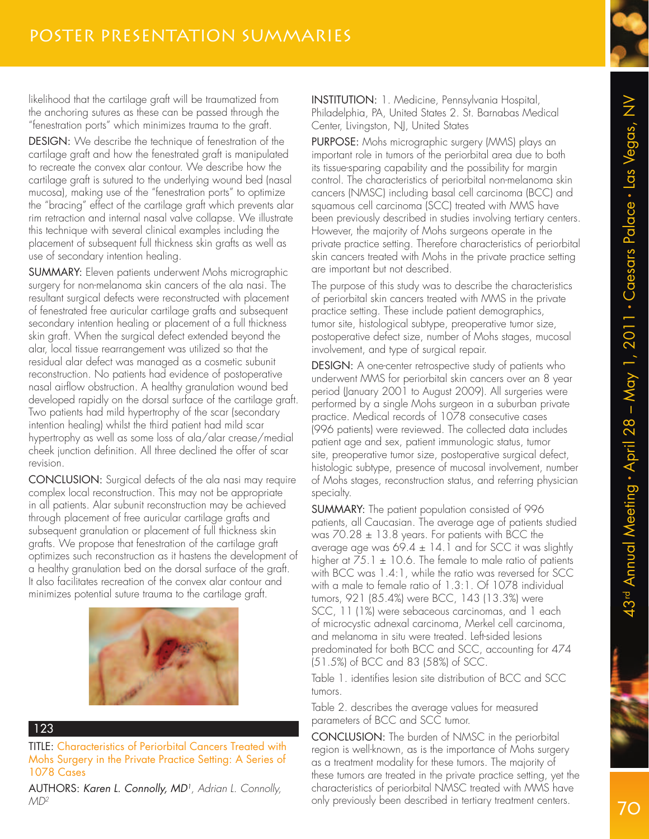likelihood that the cartilage graft will be traumatized from the anchoring sutures as these can be passed through the "fenestration ports" which minimizes trauma to the graft.

DESIGN: We describe the technique of fenestration of the cartilage graft and how the fenestrated graft is manipulated to recreate the convex alar contour. We describe how the cartilage graft is sutured to the underlying wound bed (nasal mucosa), making use of the "fenestration ports" to optimize the "bracing" effect of the cartilage graft which prevents alar rim retraction and internal nasal valve collapse. We illustrate this technique with several clinical examples including the placement of subsequent full thickness skin grafts as well as use of secondary intention healing.

SUMMARY: Eleven patients underwent Mohs micrographic surgery for non-melanoma skin cancers of the ala nasi. The resultant surgical defects were reconstructed with placement of fenestrated free auricular cartilage grafts and subsequent secondary intention healing or placement of a full thickness skin graft. When the surgical defect extended beyond the alar, local tissue rearrangement was utilized so that the residual alar defect was managed as a cosmetic subunit reconstruction. No patients had evidence of postoperative nasal airflow obstruction. A healthy granulation wound bed developed rapidly on the dorsal surface of the cartilage graft. Two patients had mild hypertrophy of the scar (secondary intention healing) whilst the third patient had mild scar hypertrophy as well as some loss of ala/alar crease/medial cheek junction definition. All three declined the offer of scar revision.

CONCLUSION: Surgical defects of the ala nasi may require complex local reconstruction. This may not be appropriate in all patients. Alar subunit reconstruction may be achieved through placement of free auricular cartilage grafts and subsequent granulation or placement of full thickness skin grafts. We propose that fenestration of the cartilage graft optimizes such reconstruction as it hastens the development of a healthy granulation bed on the dorsal surface of the graft. It also facilitates recreation of the convex alar contour and minimizes potential suture trauma to the cartilage graft.



#### 123

TITLE: Characteristics of Periorbital Cancers Treated with Mohs Surgery in the Private Practice Setting: A Series of 1078 Cases

AUTHORS: Karen L. Connolly, MD<sup>1</sup>, Adrian L. Connolly,  $MD<sup>2</sup>$ 

INSTITUTION: 1. Medicine, Pennsylvania Hospital, Philadelphia, PA, United States 2. St. Barnabas Medical Center, Livingston, NJ, United States

PURPOSE: Mohs micrographic surgery (MMS) plays an important role in tumors of the periorbital area due to both its tissue-sparing capability and the possibility for margin control. The characteristics of periorbital non-melanoma skin cancers (NMSC) including basal cell carcinoma (BCC) and squamous cell carcinoma (SCC) treated with MMS have been previously described in studies involving tertiary centers. However, the majority of Mohs surgeons operate in the private practice setting. Therefore characteristics of periorbital skin cancers treated with Mohs in the private practice setting are important but not described.

The purpose of this study was to describe the characteristics of periorbital skin cancers treated with MMS in the private practice setting. These include patient demographics, tumor site, histological subtype, preoperative tumor size, postoperative defect size, number of Mohs stages, mucosal involvement, and type of surgical repair.

DESIGN: A one-center retrospective study of patients who underwent MMS for periorbital skin cancers over an 8 year period (January 2001 to August 2009). All surgeries were performed by a single Mohs surgeon in a suburban private practice. Medical records of 1078 consecutive cases (996 patients) were reviewed. The collected data includes patient age and sex, patient immunologic status, tumor site, preoperative tumor size, postoperative surgical defect, histologic subtype, presence of mucosal involvement, number of Mohs stages, reconstruction status, and referring physician specialty.

SUMMARY: The patient population consisted of 996 patients, all Caucasian. The average age of patients studied was  $70.28 \pm 13.8$  years. For patients with BCC the average age was  $69.4 \pm 14.1$  and for SCC it was slightly higher at  $75.1 \pm 10.6$ . The female to male ratio of patients with BCC was 1.4:1, while the ratio was reversed for SCC with a male to female ratio of 1.3:1. Of 1078 individual tumors, 921 (85.4%) were BCC, 143 (13.3%) were SCC, 11 (1%) were sebaceous carcinomas, and 1 each of microcystic adnexal carcinoma, Merkel cell carcinoma, and melanoma in situ were treated. Left-sided lesions predominated for both BCC and SCC, accounting for 474 (51.5%) of BCC and 83 (58%) of SCC.

Table 1. identifies lesion site distribution of BCC and SCC tumors.

Table 2. describes the average values for measured parameters of BCC and SCC tumor.

CONCLUSION: The burden of NMSC in the periorbital region is well-known, as is the importance of Mohs surgery as a treatment modality for these tumors. The majority of these tumors are treated in the private practice setting, yet the characteristics of periorbital NMSC treated with MMS have only previously been described in tertiary treatment centers.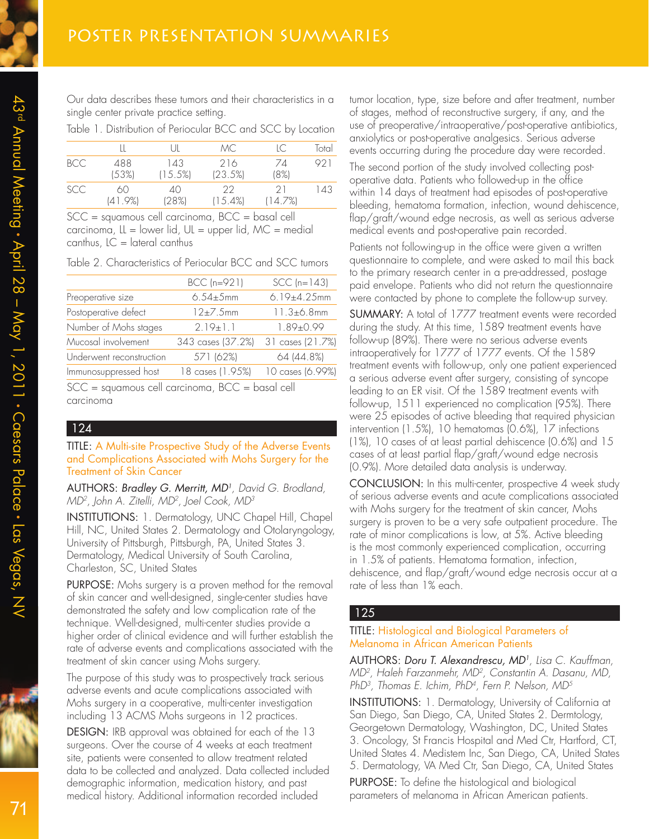Our data describes these tumors and their characteristics in a single center private practice setting.

Table 1. Distribution of Periocular BCC and SCC by Location

|            |                  | LШ             | MC.              | IC.            | Total |
|------------|------------------|----------------|------------------|----------------|-------|
| BCC        | 488<br>(53%)     | 143<br>(15.5%) | 216<br>(23.5%)   | 74<br>(8%)     | 921   |
| <b>SCC</b> | 60<br>$(41.9\%)$ | 40<br>(28%)    | 22<br>$(15.4\%)$ | -21<br>(14.7%) | 143   |

SCC = squamous cell carcinoma, BCC = basal cell carcinoma,  $LL =$  lower lid,  $UL =$  upper lid,  $MC =$  medial canthus,  $IC =$  lateral canthus

Table 2. Characteristics of Periocular BCC and SCC tumors

|                          | BCC (n=921)       | $SCC$ (n=143)     |
|--------------------------|-------------------|-------------------|
| Preoperative size        | $6.54 \pm 5$ mm   | 6.19±4.25mm       |
| Postoperative defect     | 12±7.5mm          | $11.3 \pm 6.8$ mm |
| Number of Mohs stages    | $2.19 \pm 1.1$    | $1.89 \pm 0.99$   |
| Mucosal involvement      | 343 cases (37.2%) | 31 cases (21.7%)  |
| Underwent reconstruction | 571 (62%)         | 64 (44.8%)        |
| Immunosuppressed host    | 18 cases (1.95%)  | 10 cases (6.99%)  |
|                          |                   |                   |

SCC = squamous cell carcinoma, BCC = basal cell carcinoma

#### 124

TITLE: A Multi-site Prospective Study of the Adverse Events and Complications Associated with Mohs Surgery for the Treatment of Skin Cancer

AUTHORS: Bradley G. Merritt, MD<sup>1</sup> , David G. Brodland, MD<sup>2</sup>, John A. Zitelli, MD<sup>2</sup>, Joel Cook, MD<sup>3</sup>

INSTITUTIONS: 1. Dermatology, UNC Chapel Hill, Chapel Hill, NC, United States 2. Dermatology and Otolaryngology, University of Pittsburgh, Pittsburgh, PA, United States 3. Dermatology, Medical University of South Carolina, Charleston, SC, United States

PURPOSE: Mohs surgery is a proven method for the removal of skin cancer and well-designed, single-center studies have demonstrated the safety and low complication rate of the technique. Well-designed, multi-center studies provide a higher order of clinical evidence and will further establish the rate of adverse events and complications associated with the treatment of skin cancer using Mohs surgery.

The purpose of this study was to prospectively track serious adverse events and acute complications associated with Mohs surgery in a cooperative, multi-center investigation including 13 ACMS Mohs surgeons in 12 practices.

DESIGN: IRB approval was obtained for each of the 13 surgeons. Over the course of 4 weeks at each treatment site, patients were consented to allow treatment related data to be collected and analyzed. Data collected included demographic information, medication history, and past medical history. Additional information recorded included

tumor location, type, size before and after treatment, number of stages, method of reconstructive surgery, if any, and the use of preoperative/intraoperative/post-operative antibiotics, anxiolytics or post-operative analgesics. Serious adverse events occurring during the procedure day were recorded.

The second portion of the study involved collecting postoperative data. Patients who followed-up in the office within 14 days of treatment had episodes of post-operative bleeding, hematoma formation, infection, wound dehiscence, flap/graft/wound edge necrosis, as well as serious adverse medical events and post-operative pain recorded.

Patients not following-up in the office were given a written questionnaire to complete, and were asked to mail this back to the primary research center in a pre-addressed, postage paid envelope. Patients who did not return the questionnaire were contacted by phone to complete the follow-up survey.

SUMMARY: A total of 1777 treatment events were recorded during the study. At this time, 1589 treatment events have follow-up (89%). There were no serious adverse events intraoperatively for 1777 of 1777 events. Of the 1589 treatment events with follow-up, only one patient experienced a serious adverse event after surgery, consisting of syncope leading to an ER visit. Of the 1589 treatment events with follow-up, 1511 experienced no complication (95%). There were 25 episodes of active bleeding that required physician intervention (1.5%), 10 hematomas (0.6%), 17 infections (1%), 10 cases of at least partial dehiscence (0.6%) and 15 cases of at least partial flap/graft/wound edge necrosis (0.9%). More detailed data analysis is underway.

CONCLUSION: In this multi-center, prospective 4 week study of serious adverse events and acute complications associated with Mohs surgery for the treatment of skin cancer, Mohs surgery is proven to be a very safe outpatient procedure. The rate of minor complications is low, at 5%. Active bleeding is the most commonly experienced complication, occurring in 1.5% of patients. Hematoma formation, infection, dehiscence, and flap/graft/wound edge necrosis occur at a rate of less than 1% each.

#### 125

#### TITLE: Histological and Biological Parameters of Melanoma in African American Patients

AUTHORS: Doru T. Alexandrescu, MD<sup>1</sup> , Lisa C. Kauffman, MD2 , Haleh Farzanmehr, MD<sup>2</sup> , Constantin A. Dasanu, MD, PhD3 , Thomas E. Ichim, PhD<sup>4</sup> , Fern P. Nelson, MD<sup>5</sup>

INSTITUTIONS: 1. Dermatology, University of California at San Diego, San Diego, CA, United States 2. Dermtology, Georgetown Dermatology, Washington, DC, United States 3. Oncology, St Francis Hospital and Med Ctr, Hartford, CT, United States 4. Medistem Inc, San Diego, CA, United States 5. Dermatology, VA Med Ctr, San Diego, CA, United States

PURPOSE: To define the histological and biological parameters of melanoma in African American patients.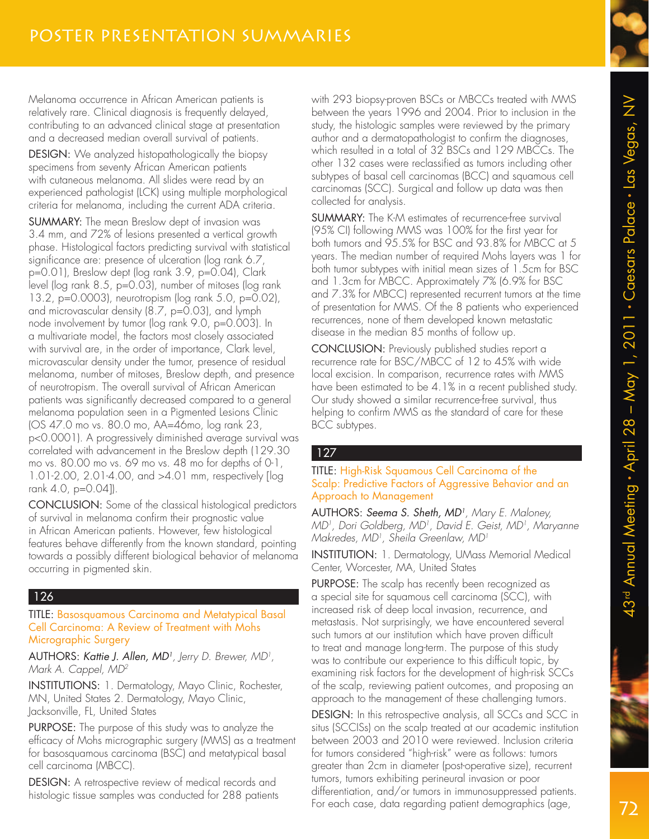Melanoma occurrence in African American patients is relatively rare. Clinical diagnosis is frequently delayed, contributing to an advanced clinical stage at presentation and a decreased median overall survival of patients.

DESIGN: We analyzed histopathologically the biopsy specimens from seventy African American patients with cutaneous melanoma. All slides were read by an experienced pathologist (LCK) using multiple morphological criteria for melanoma, including the current ADA criteria.

SUMMARY: The mean Breslow dept of invasion was 3.4 mm, and 72% of lesions presented a vertical growth phase. Histological factors predicting survival with statistical significance are: presence of ulceration (log rank 6.7, p=0.01), Breslow dept (log rank 3.9, p=0.04), Clark level (log rank 8.5, p=0.03), number of mitoses (log rank 13.2, p=0.0003), neurotropism (log rank 5.0, p=0.02), and microvascular density (8.7, p=0.03), and lymph node involvement by tumor (log rank 9.0, p=0.003). In a multivariate model, the factors most closely associated with survival are, in the order of importance, Clark level, microvascular density under the tumor, presence of residual melanoma, number of mitoses, Breslow depth, and presence of neurotropism. The overall survival of African American patients was significantly decreased compared to a general melanoma population seen in a Pigmented Lesions Clinic (OS 47.0 mo vs. 80.0 mo, AA=46mo, log rank 23, p<0.0001). A progressively diminished average survival was correlated with advancement in the Breslow depth (129.30 mo vs. 80.00 mo vs. 69 mo vs. 48 mo for depths of 0-1, 1.01-2.00, 2.01-4.00, and >4.01 mm, respectively [log rank 4.0, p=0.04]).

CONCLUSION: Some of the classical histological predictors of survival in melanoma confirm their prognostic value in African American patients. However, few histological features behave differently from the known standard, pointing towards a possibly different biological behavior of melanoma occurring in pigmented skin.

## 126

TITLE: Basosquamous Carcinoma and Metatypical Basal Cell Carcinoma: A Review of Treatment with Mohs Micrographic Surgery

AUTHORS: Kattie J. Allen, MD<sup>1</sup>, Jerry D. Brewer, MD<sup>1</sup>, Mark A. Cappel, MD<sup>2</sup>

INSTITUTIONS: 1. Dermatology, Mayo Clinic, Rochester, MN, United States 2. Dermatology, Mayo Clinic, Jacksonville, FL, United States

PURPOSE: The purpose of this study was to analyze the efficacy of Mohs micrographic surgery (MMS) as a treatment for basosquamous carcinoma (BSC) and metatypical basal cell carcinoma (MBCC).

DESIGN: A retrospective review of medical records and histologic tissue samples was conducted for 288 patients

with 293 biopsy-proven BSCs or MBCCs treated with MMS between the years 1996 and 2004. Prior to inclusion in the study, the histologic samples were reviewed by the primary author and a dermatopathologist to confirm the diagnoses, which resulted in a total of 32 BSCs and 129 MBCCs. The other 132 cases were reclassified as tumors including other subtypes of basal cell carcinomas (BCC) and squamous cell carcinomas (SCC). Surgical and follow up data was then collected for analysis.

SUMMARY: The K-M estimates of recurrence-free survival (95% CI) following MMS was 100% for the first year for both tumors and 95.5% for BSC and 93.8% for MBCC at 5 years. The median number of required Mohs layers was 1 for both tumor subtypes with initial mean sizes of 1.5cm for BSC and 1.3cm for MBCC. Approximately 7% (6.9% for BSC and 7.3% for MBCC) represented recurrent tumors at the time of presentation for MMS. Of the 8 patients who experienced recurrences, none of them developed known metastatic disease in the median 85 months of follow up.

CONCLUSION: Previously published studies report a recurrence rate for BSC/MBCC of 12 to 45% with wide local excision. In comparison, recurrence rates with MMS have been estimated to be 4.1% in a recent published study. Our study showed a similar recurrence-free survival, thus helping to confirm MMS as the standard of care for these BCC subtypes.

# 127

#### TITLE: High-Risk Squamous Cell Carcinoma of the Scalp: Predictive Factors of Aggressive Behavior and an Approach to Management

**AUTHORS: Seema S. Sheth, MD<sup>1</sup>, Mary E. Maloney,** MD<sup>1</sup>, Dori Goldberg, MD<sup>1</sup>, David E. Geist, MD<sup>1</sup>, Maryanne Makredes, MD<sup>1</sup>, Sheila Greenlaw, MD<sup>1</sup>

INSTITUTION: 1. Dermatology, UMass Memorial Medical Center, Worcester, MA, United States

PURPOSE: The scalp has recently been recognized as a special site for squamous cell carcinoma (SCC), with increased risk of deep local invasion, recurrence, and metastasis. Not surprisingly, we have encountered several such tumors at our institution which have proven difficult to treat and manage long-term. The purpose of this study was to contribute our experience to this difficult topic, by examining risk factors for the development of high-risk SCCs of the scalp, reviewing patient outcomes, and proposing an approach to the management of these challenging tumors.

DESIGN: In this retrospective analysis, all SCCs and SCC in situs (SCCISs) on the scalp treated at our academic institution between 2003 and 2010 were reviewed. Inclusion criteria for tumors considered "high-risk" were as follows: tumors greater than 2cm in diameter (post-operative size), recurrent tumors, tumors exhibiting perineural invasion or poor differentiation, and/or tumors in immunosuppressed patients. For each case, data regarding patient demographics (age,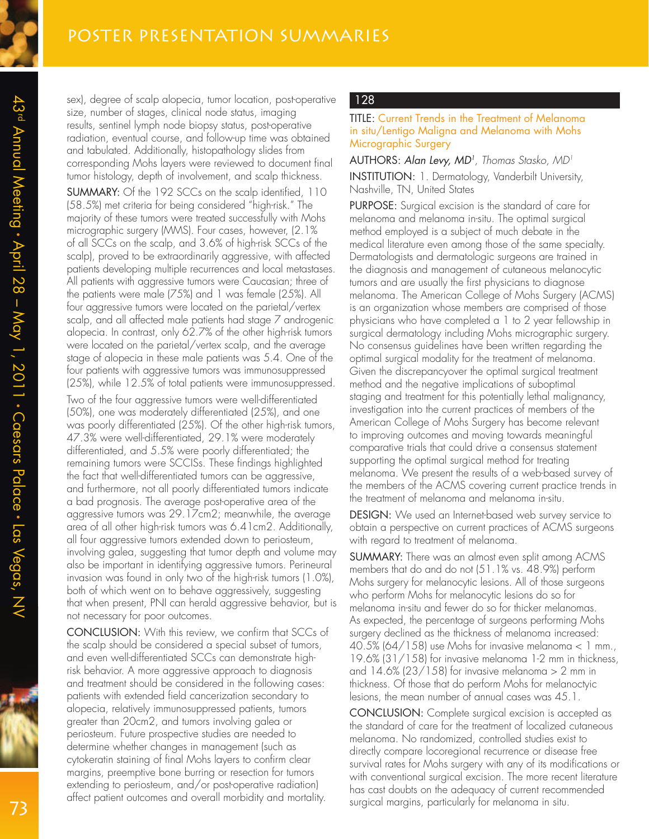sex), degree of scalp alopecia, tumor location, post-operative size, number of stages, clinical node status, imaging results, sentinel lymph node biopsy status, post-operative radiation, eventual course, and follow-up time was obtained and tabulated. Additionally, histopathology slides from corresponding Mohs layers were reviewed to document final tumor histology, depth of involvement, and scalp thickness.

SUMMARY: Of the 192 SCCs on the scalp identified, 110 (58.5%) met criteria for being considered "high-risk." The majority of these tumors were treated successfully with Mohs micrographic surgery (MMS). Four cases, however, (2.1% of all SCCs on the scalp, and 3.6% of high-risk SCCs of the scalp), proved to be extraordinarily aggressive, with affected patients developing multiple recurrences and local metastases. All patients with aggressive tumors were Caucasian; three of the patients were male (75%) and 1 was female (25%). All four aggressive tumors were located on the parietal/vertex scalp, and all affected male patients had stage 7 androgenic alopecia. In contrast, only 62.7% of the other high-risk tumors were located on the parietal/vertex scalp, and the average stage of alopecia in these male patients was 5.4. One of the four patients with aggressive tumors was immunosuppressed (25%), while 12.5% of total patients were immunosuppressed.

Two of the four aggressive tumors were well-differentiated (50%), one was moderately differentiated (25%), and one was poorly differentiated (25%). Of the other high-risk tumors, 47.3% were well-differentiated, 29.1% were moderately differentiated, and 5.5% were poorly differentiated; the remaining tumors were SCCISs. These findings highlighted the fact that well-differentiated tumors can be aggressive, and furthermore, not all poorly differentiated tumors indicate a bad prognosis. The average post-operative area of the aggressive tumors was 29.17cm2; meanwhile, the average area of all other high-risk tumors was 6.41cm2. Additionally, all four aggressive tumors extended down to periosteum, involving galea, suggesting that tumor depth and volume may also be important in identifying aggressive tumors. Perineural invasion was found in only two of the high-risk tumors (1.0%), both of which went on to behave aggressively, suggesting that when present, PNI can herald aggressive behavior, but is not necessary for poor outcomes.

CONCLUSION: With this review, we confirm that SCCs of the scalp should be considered a special subset of tumors, and even well-differentiated SCCs can demonstrate highrisk behavior. A more aggressive approach to diagnosis and treatment should be considered in the following cases: patients with extended field cancerization secondary to alopecia, relatively immunosuppressed patients, tumors greater than 20cm2, and tumors involving galea or periosteum. Future prospective studies are needed to determine whether changes in management (such as cytokeratin staining of final Mohs layers to confirm clear margins, preemptive bone burring or resection for tumors extending to periosteum, and/or post-operative radiation) affect patient outcomes and overall morbidity and mortality.

#### 128

TITLE: Current Trends in the Treatment of Melanoma in situ/Lentigo Maligna and Melanoma with Mohs Micrographic Surgery

AUTHORS: Alan Levy, MD<sup>1</sup>, Thomas Stasko, MD<sup>1</sup> INSTITUTION: 1. Dermatology, Vanderbilt University, Nashville, TN, United States

PURPOSE: Surgical excision is the standard of care for melanoma and melanoma in-situ. The optimal surgical method employed is a subject of much debate in the medical literature even among those of the same specialty. Dermatologists and dermatologic surgeons are trained in the diagnosis and management of cutaneous melanocytic tumors and are usually the first physicians to diagnose melanoma. The American College of Mohs Surgery (ACMS) is an organization whose members are comprised of those physicians who have completed a 1 to 2 year fellowship in surgical dermatology including Mohs micrographic surgery. No consensus guidelines have been written regarding the optimal surgical modality for the treatment of melanoma. Given the discrepancyover the optimal surgical treatment method and the negative implications of suboptimal staging and treatment for this potentially lethal malignancy, investigation into the current practices of members of the American College of Mohs Surgery has become relevant to improving outcomes and moving towards meaningful comparative trials that could drive a consensus statement supporting the optimal surgical method for treating melanoma. We present the results of a web-based survey of the members of the ACMS covering current practice trends in the treatment of melanoma and melanoma in-situ.

DESIGN: We used an Internet-based web survey service to obtain a perspective on current practices of ACMS surgeons with regard to treatment of melanoma.

SUMMARY: There was an almost even split among ACMS members that do and do not (51.1% vs. 48.9%) perform Mohs surgery for melanocytic lesions. All of those surgeons who perform Mohs for melanocytic lesions do so for melanoma in-situ and fewer do so for thicker melanomas. As expected, the percentage of surgeons performing Mohs surgery declined as the thickness of melanoma increased: 40.5% (64/158) use Mohs for invasive melanoma  $< 1$  mm., 19.6% (31/158) for invasive melanoma 1-2 mm in thickness, and  $14.6\%$  (23/158) for invasive melanoma  $> 2$  mm in thickness. Of those that do perform Mohs for melanoctyic lesions, the mean number of annual cases was 45.1.

CONCLUSION: Complete surgical excision is accepted as the standard of care for the treatment of localized cutaneous melanoma. No randomized, controlled studies exist to directly compare locoregional recurrence or disease free survival rates for Mohs surgery with any of its modifications or with conventional surgical excision. The more recent literature has cast doubts on the adequacy of current recommended surgical margins, particularly for melanoma in situ.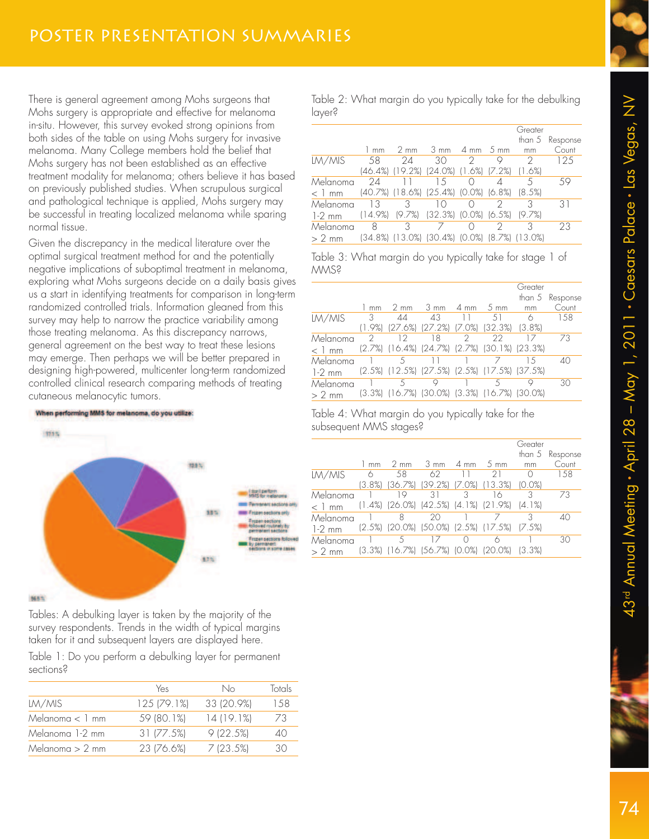There is general agreement among Mohs surgeons that Mohs surgery is appropriate and effective for melanoma in-situ. However, this survey evoked strong opinions from both sides of the table on using Mohs surgery for invasive melanoma. Many College members hold the belief that Mohs surgery has not been established as an effective treatment modality for melanoma; others believe it has based on previously published studies. When scrupulous surgical and pathological technique is applied, Mohs surgery may be successful in treating localized melanoma while sparing normal tissue.

Given the discrepancy in the medical literature over the optimal surgical treatment method for and the potentially negative implications of suboptimal treatment in melanoma, exploring what Mohs surgeons decide on a daily basis gives us a start in identifying treatments for comparison in long-term randomized controlled trials. Information gleaned from this survey may help to narrow the practice variability among those treating melanoma. As this discrepancy narrows, general agreement on the best way to treat these lesions may emerge. Then perhaps we will be better prepared in designing high-powered, multicenter long-term randomized controlled clinical research comparing methods of treating cutaneous melanocytic tumors.



Tables: A debulking layer is taken by the majority of the survey respondents. Trends in the width of typical margins taken for it and subsequent layers are displayed here.

Table 1: Do you perform a debulking layer for permanent sections?

|                   | Yes         | No         | Totals |
|-------------------|-------------|------------|--------|
| LM/MIS            | 125 (79.1%) | 33 (20.9%) | 1.58   |
| Melanoma $< 1$ mm | 59 (80.1%)  | 14(19.1%)  | 73     |
| Melanoma 1-2 mm   | 31 [77.5%]  | 9(22.5%)   | 40     |
| Melanoma $> 2$ mm | 23 (76.6%)  | 7(23.5%)   | 30     |
|                   |             |            |        |

Table 2: What margin do you typically take for the debulking layer?

|          |            |                                              |                                          |                 | Greater              |                 |
|----------|------------|----------------------------------------------|------------------------------------------|-----------------|----------------------|-----------------|
|          |            |                                              |                                          |                 |                      | than 5 Response |
|          | mm         | $2 \text{ mm}$                               | $3 \, \text{mm}$                         | 4 mm 5 mm       | mm                   | Count           |
| LM/MIS   | 58         | 24                                           | 30                                       | $\mathcal{D}$   |                      | 125             |
|          |            | (46.4%) (19.2%)                              | $(24.0\%)$ $(1.6\%)$ $(7.2\%)$           |                 | $(1.6\%)$            |                 |
| Melanoma | 24         |                                              | 15                                       | $\left(\right)$ |                      | 59              |
| $< 1$ mm |            | (40.7%) (18.6%) (25.4%) (0.0%) (6.8%) (8.5%) |                                          |                 |                      |                 |
| Melanoma | 13         | 3                                            | 10                                       |                 |                      | 31              |
| $1-2$ mm | $(14.9\%)$ | $(9.7\%)$                                    | $(32.3\%)$ $(0.0\%)$ $(6.5\%)$ $(9.7\%)$ |                 |                      |                 |
| Melanoma | 8          | 3                                            |                                          |                 |                      | 23              |
| $> 2$ mm |            | (34.8%) (13.0%)                              | (30.4%)                                  | (0.0%           | $(8.7\%)$ $(13.0\%)$ |                 |

Table 3: What margin do you typically take for stage 1 of MMS?

|          |                |                                                                 |                     |   |                | Greater |                 |
|----------|----------------|-----------------------------------------------------------------|---------------------|---|----------------|---------|-----------------|
|          |                |                                                                 |                     |   |                |         | than 5 Response |
|          | $1 \text{ mm}$ | $2 \text{ mm}$                                                  | $3 \text{ mm}$ 4 mm |   | $5 \text{ mm}$ | mm      | Count           |
| LM/MIS   | 3              | ΔΔ                                                              | 43                  |   | 51             | 6       | 1.58            |
|          |                | (1.9%) (27.6%) (27.2%) (7.0%) (32.3%) (3.8%)                    |                     |   |                |         |                 |
| Melanoma | 2              | 12                                                              | 18                  | 2 | 22             |         | 73              |
| $< 1$ mm |                | $(2.7%)$ $(16.4%)$ $(24.7%)$ $(2.7%)$ $(30.1%)$ $(23.3%)$       |                     |   |                |         |                 |
| Melanoma |                | 5                                                               |                     |   |                | 15      | 40              |
| $1-2$ mm |                | $(2.5\%)$ $(12.5\%)$ $(27.5\%)$ $(2.5\%)$ $(17.5\%)$ $(37.5\%)$ |                     |   |                |         |                 |
| Melanoma |                | 5                                                               | Υ                   |   | 5              |         | 30              |
| $> 2$ mm |                | (3.3%) (16.7%) (30.0%) (3.3%) (16.7%) (30.0%)                   |                     |   |                |         |                 |

Table 4: What margin do you typically take for the subsequent MMS stages?

|          |        |                |                                       |         |                                              | Greater   | than 5 Response |
|----------|--------|----------------|---------------------------------------|---------|----------------------------------------------|-----------|-----------------|
|          | mm     | $2 \text{ mm}$ | $3 \, \text{mm}$                      | $-4$ mm | 5 mm                                         | mm        | Count           |
| LM/MIS   | 6      | 58             | 62.                                   |         | 21                                           |           | 158             |
|          | 13.8%) |                | $(36.7\%)$ $(39.2\%)$                 |         | $(7.0\%)$ $(13.3\%)$                         | 10.0%     |                 |
| Melanoma |        | 19             | 31                                    | २       | 16                                           |           | 73              |
| $< 1$ mm |        |                |                                       |         | (1.4%) (26.0%) (42.5%) (4.1%) (21.9%) (4.1%) |           |                 |
| Melanoma |        | 8              | 20                                    |         |                                              |           | 40              |
| $1-2$ mm |        |                |                                       |         | (2.5%) (20.0%) (50.0%) (2.5%) (17.5%) (7.5%) |           |                 |
| Melanoma |        | 5              |                                       |         |                                              |           | 30              |
| $> 2$ mm |        |                | (3.3%) (16.7%) (56.7%) (0.0%) (20.0%) |         |                                              | $(3.3\%)$ |                 |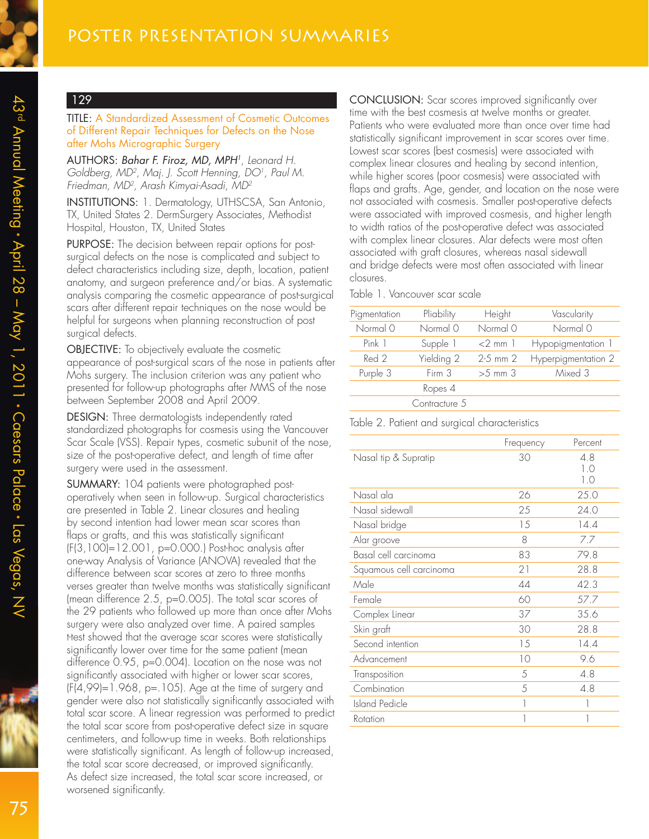#### TITLE: A Standardized Assessment of Cosmetic Outcomes of Different Repair Techniques for Defects on the Nose after Mohs Micrographic Surgery

AUTHORS: Bahar F. Firoz, MD, MPH<sup>1</sup> , Leonard H. Goldberg, MD<sup>2</sup>, Maj. J. Scott Henning, DO<sup>1</sup>, Paul M. Friedman, MD<sup>2</sup> , Arash Kimyai-Asadi, MD<sup>2</sup>

INSTITUTIONS: 1. Dermatology, UTHSCSA, San Antonio, TX, United States 2. DermSurgery Associates, Methodist Hospital, Houston, TX, United States

PURPOSE: The decision between repair options for postsurgical defects on the nose is complicated and subject to defect characteristics including size, depth, location, patient anatomy, and surgeon preference and/or bias. A systematic analysis comparing the cosmetic appearance of post-surgical scars after different repair techniques on the nose would be helpful for surgeons when planning reconstruction of post surgical defects.

OBJECTIVE: To objectively evaluate the cosmetic appearance of post-surgical scars of the nose in patients after Mohs surgery. The inclusion criterion was any patient who presented for follow-up photographs after MMS of the nose between September 2008 and April 2009.

DESIGN: Three dermatologists independently rated standardized photographs for cosmesis using the Vancouver Scar Scale (VSS). Repair types, cosmetic subunit of the nose, size of the post-operative defect, and length of time after surgery were used in the assessment.

SUMMARY: 104 patients were photographed postoperatively when seen in follow-up. Surgical characteristics are presented in Table 2. Linear closures and healing by second intention had lower mean scar scores than flaps or grafts, and this was statistically significant (F(3,100)=12.001, p=0.000.) Post-hoc analysis after one-way Analysis of Variance (ANOVA) revealed that the difference between scar scores at zero to three months verses greater than twelve months was statistically significant (mean difference 2.5, p=0.005). The total scar scores of the 29 patients who followed up more than once after Mohs surgery were also analyzed over time. A paired samples t-test showed that the average scar scores were statistically significantly lower over time for the same patient (mean difference 0.95, p=0.004). Location on the nose was not significantly associated with higher or lower scar scores,  $(F(4, 99)=1.968, p=.105$ . Age at the time of surgery and gender were also not statistically significantly associated with total scar score. A linear regression was performed to predict the total scar score from post-operative defect size in square centimeters, and follow-up time in weeks. Both relationships were statistically significant. As length of follow-up increased, the total scar score decreased, or improved significantly. As defect size increased, the total scar score increased, or worsened significantly.

CONCLUSION: Scar scores improved significantly over time with the best cosmesis at twelve months or greater. Patients who were evaluated more than once over time had statistically significant improvement in scar scores over time. Lowest scar scores (best cosmesis) were associated with complex linear closures and healing by second intention, while higher scores (poor cosmesis) were associated with flaps and grafts. Age, gender, and location on the nose were not associated with cosmesis. Smaller post-operative defects were associated with improved cosmesis, and higher length to width ratios of the post-operative defect was associated with complex linear closures. Alar defects were most often associated with graft closures, whereas nasal sidewall and bridge defects were most often associated with linear closures.

#### Table 1. Vancouver scar scale

| Pigmentation | Pliability    | Height           | Vascularity         |
|--------------|---------------|------------------|---------------------|
| Normal 0     | Normal 0      | Normal 0         | Normal 0            |
| Pink 1       | Supple 1      | $<$ 2 mm $\vert$ | Hypopigmentation 1  |
| Red 2        | Yielding 2    | $2-5$ mm $2$     | Hyperpigmentation 2 |
| Purple 3     | Firm 3        | $>5$ mm $3$      | Mixed 3             |
|              | Ropes 4       |                  |                     |
|              | Contracture 5 |                  |                     |
|              |               |                  |                     |

| Table 2. Patient and surgical characteristics |
|-----------------------------------------------|
|-----------------------------------------------|

|                         | Frequency | Percent           |
|-------------------------|-----------|-------------------|
| Nasal tip & Supratip    | 30        | 4.8<br>1.0<br>1.0 |
| Nasal ala               | 26        | 25.0              |
| Nasal sidewall          | 25        | 24.0              |
| Nasal bridge            | 15        | 14.4              |
| Alar groove             | 8         | 7.7               |
| Basal cell carcinoma    | 83        | 79.8              |
| Squamous cell carcinoma | 21        | 28.8              |
| Male                    | 44        | 42.3              |
| Female                  | 60        | 57.7              |
| Complex Linear          | 37        | 35.6              |
| Skin graft              | 30        | 28.8              |
| Second intention        | 15        | 14.4              |
| Advancement             | 10        | 9.6               |
| Transposition           | .5        | 4.8               |
| Combination             | 5         | 4.8               |
| <b>Island Pedicle</b>   | 1         |                   |
| Rotation                | 1         |                   |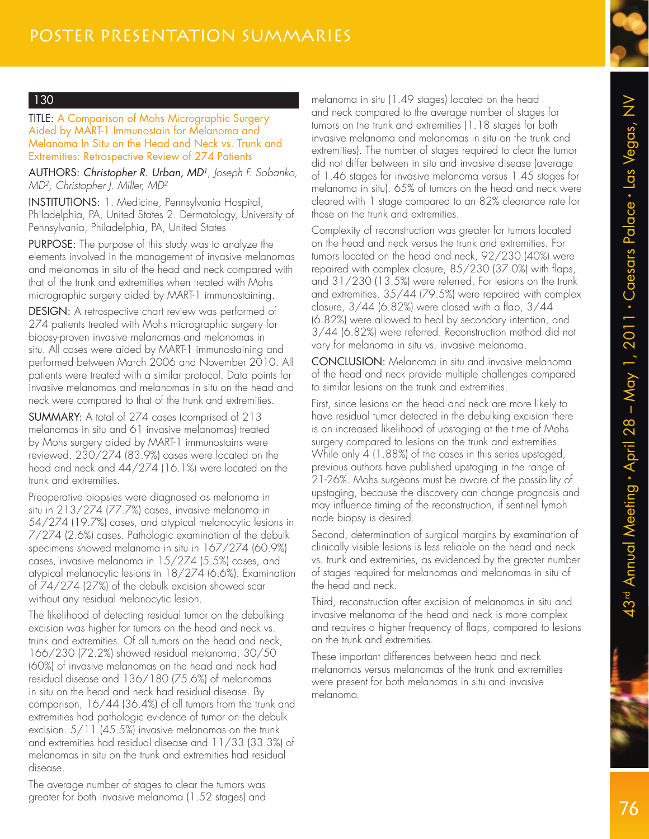TITLE: A Comparison of Mohs Micrographic Surgery Aided by MART-1 Immunostain for Melanoma and Melanoma In Situ on the Head and Neck vs. Trunk and Extremities: Retrospective Review of 274 Patients

AUTHORS: Christopher R. Urban, MD<sup>1</sup>, Joseph F. Sobanko, MD2 , Christopher J. Miller, MD<sup>2</sup>

INSTITUTIONS: 1. Medicine, Pennsylvania Hospital, Philadelphia, PA, United States 2. Dermatology, University of Pennsylvania, Philadelphia, PA, United States

PURPOSE: The purpose of this study was to analyze the elements involved in the management of invasive melanomas and melanomas in situ of the head and neck compared with that of the trunk and extremities when treated with Mohs micrographic surgery aided by MART-1 immunostaining.

DESIGN: A retrospective chart review was performed of 274 patients treated with Mohs micrographic surgery for biopsy-proven invasive melanomas and melanomas in situ. All cases were aided by MART-1 immunostaining and performed between March 2006 and November 2010. All patients were treated with a similar protocol. Data points for invasive melanomas and melanomas in situ on the head and neck were compared to that of the trunk and extremities.

SUMMARY: A total of 274 cases (comprised of 213 melanomas in situ and 61 invasive melanomas) treated by Mohs surgery aided by MART-1 immunostains were reviewed. 230/274 (83.9%) cases were located on the head and neck and 44/274 (16.1%) were located on the trunk and extremities.

Preoperative biopsies were diagnosed as melanoma in situ in 213/274 (77.7%) cases, invasive melanoma in 54/274 (19.7%) cases, and atypical melanocytic lesions in 7/274 (2.6%) cases. Pathologic examination of the debulk specimens showed melanoma in situ in 167/274 (60.9%) cases, invasive melanoma in 15/274 (5.5%) cases, and atypical melanocytic lesions in 18/274 (6.6%). Examination of 74/274 (27%) of the debulk excision showed scar without any residual melanocytic lesion.

The likelihood of detecting residual tumor on the debulking excision was higher for tumors on the head and neck vs. trunk and extremities. Of all tumors on the head and neck, 166/230 (72.2%) showed residual melanoma. 30/50 (60%) of invasive melanomas on the head and neck had residual disease and 136/180 (75.6%) of melanomas in situ on the head and neck had residual disease. By comparison, 16/44 (36.4%) of all tumors from the trunk and extremities had pathologic evidence of tumor on the debulk excision. 5/11 (45.5%) invasive melanomas on the trunk and extremities had residual disease and 11/33 (33.3%) of melanomas in situ on the trunk and extremities had residual disease.

The average number of stages to clear the tumors was greater for both invasive melanoma (1.52 stages) and

melanoma in situ (1.49 stages) located on the head and neck compared to the average number of stages for tumors on the trunk and extremities (1.18 stages for both invasive melanoma and melanomas in situ on the trunk and extremities). The number of stages required to clear the tumor did not differ between in situ and invasive disease (average of 1.46 stages for invasive melanoma versus 1.45 stages for melanoma in situ). 65% of tumors on the head and neck were cleared with 1 stage compared to an 82% clearance rate for those on the trunk and extremities.

Complexity of reconstruction was greater for tumors located on the head and neck versus the trunk and extremities. For tumors located on the head and neck, 92/230 (40%) were repaired with complex closure, 85/230 (37.0%) with flaps, and 31/230 (13.5%) were referred. For lesions on the trunk and extremities, 35/44 (79.5%) were repaired with complex closure, 3/44 (6.82%) were closed with a flap, 3/44 (6.82%) were allowed to heal by secondary intention, and 3/44 (6.82%) were referred. Reconstruction method did not vary for melanoma in situ vs. invasive melanoma.

CONCLUSION: Melanoma in situ and invasive melanoma of the head and neck provide multiple challenges compared to similar lesions on the trunk and extremities.

First, since lesions on the head and neck are more likely to have residual tumor detected in the debulking excision there is an increased likelihood of upstaging at the time of Mohs surgery compared to lesions on the trunk and extremities. While only 4 (1.88%) of the cases in this series upstaged, previous authors have published upstaging in the range of 21-26%. Mohs surgeons must be aware of the possibility of upstaging, because the discovery can change prognosis and may influence timing of the reconstruction, if sentinel lymph node biopsy is desired.

Second, determination of surgical margins by examination of clinically visible lesions is less reliable on the head and neck vs. trunk and extremities, as evidenced by the greater number of stages required for melanomas and melanomas in situ of the head and neck.

Third, reconstruction after excision of melanomas in situ and invasive melanoma of the head and neck is more complex and requires a higher frequency of flaps, compared to lesions on the trunk and extremities.

These important differences between head and neck melanomas versus melanomas of the trunk and extremities were present for both melanomas in situ and invasive melanoma.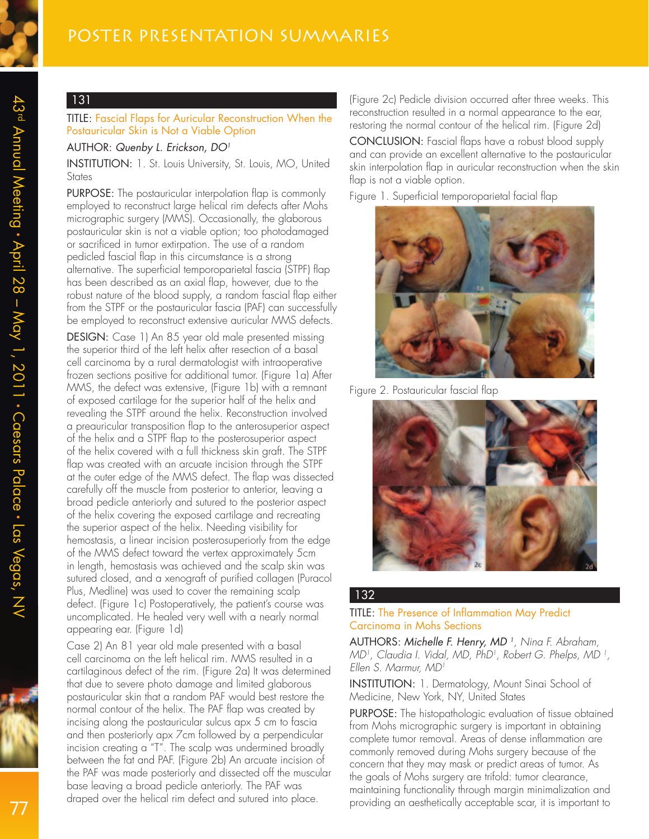TITLE: Fascial Flaps for Auricular Reconstruction When the Postauricular Skin is Not a Viable Option

#### AUTHOR: Quenby L. Erickson, DO<sup>1</sup>

INSTITUTION: 1. St. Louis University, St. Louis, MO, United **States** 

PURPOSE: The postauricular interpolation flap is commonly employed to reconstruct large helical rim defects after Mohs micrographic surgery (MMS). Occasionally, the glaborous postauricular skin is not a viable option; too photodamaged or sacrificed in tumor extirpation. The use of a random pedicled fascial flap in this circumstance is a strong alternative. The superficial temporoparietal fascia (STPF) flap has been described as an axial flap, however, due to the robust nature of the blood supply, a random fascial flap either from the STPF or the postauricular fascia (PAF) can successfully be employed to reconstruct extensive auricular MMS defects.

DESIGN: Case 1) An 85 year old male presented missing the superior third of the left helix after resection of a basal cell carcinoma by a rural dermatologist with intraoperative frozen sections positive for additional tumor. (Figure 1a) After MMS, the defect was extensive, (Figure 1b) with a remnant of exposed cartilage for the superior half of the helix and revealing the STPF around the helix. Reconstruction involved a preauricular transposition flap to the anterosuperior aspect of the helix and a STPF flap to the posterosuperior aspect of the helix covered with a full thickness skin graft. The STPF flap was created with an arcuate incision through the STPF at the outer edge of the MMS defect. The flap was dissected carefully off the muscle from posterior to anterior, leaving a broad pedicle anteriorly and sutured to the posterior aspect of the helix covering the exposed cartilage and recreating the superior aspect of the helix. Needing visibility for hemostasis, a linear incision posterosuperiorly from the edge of the MMS defect toward the vertex approximately 5cm in length, hemostasis was achieved and the scalp skin was sutured closed, and a xenograft of purified collagen (Puracol Plus, Medline) was used to cover the remaining scalp defect. (Figure 1c) Postoperatively, the patient's course was uncomplicated. He healed very well with a nearly normal appearing ear. (Figure 1d)

Case 2) An 81 year old male presented with a basal cell carcinoma on the left helical rim. MMS resulted in a cartilaginous defect of the rim. (Figure 2a) It was determined that due to severe photo damage and limited glaborous postauricular skin that a random PAF would best restore the normal contour of the helix. The PAF flap was created by incising along the postauricular sulcus apx 5 cm to fascia and then posteriorly apx 7cm followed by a perpendicular incision creating a "T". The scalp was undermined broadly between the fat and PAF. (Figure 2b) An arcuate incision of the PAF was made posteriorly and dissected off the muscular base leaving a broad pedicle anteriorly. The PAF was draped over the helical rim defect and sutured into place.

(Figure 2c) Pedicle division occurred after three weeks. This reconstruction resulted in a normal appearance to the ear, restoring the normal contour of the helical rim. (Figure 2d)

CONCLUSION: Fascial flaps have a robust blood supply and can provide an excellent alternative to the postauricular skin interpolation flap in auricular reconstruction when the skin flap is not a viable option.

Figure 1. Superficial temporoparietal facial flap



Figure 2. Postauricular fascial flap



#### 132

#### TITLE: The Presence of Inflammation May Predict Carcinoma in Mohs Sections

AUTHORS: Michelle F. Henry, MD <sup>1</sup> , Nina F. Abraham, MD1 , Claudia I. Vidal, MD, PhD<sup>1</sup> , Robert G. Phelps, MD <sup>1</sup> , Ellen S. Marmur, MD<sup>1</sup>

INSTITUTION: 1. Dermatology, Mount Sinai School of Medicine, New York, NY, United States

PURPOSE: The histopathologic evaluation of tissue obtained from Mohs micrographic surgery is important in obtaining complete tumor removal. Areas of dense inflammation are commonly removed during Mohs surgery because of the concern that they may mask or predict areas of tumor. As the goals of Mohs surgery are trifold: tumor clearance, maintaining functionality through margin minimalization and providing an aesthetically acceptable scar, it is important to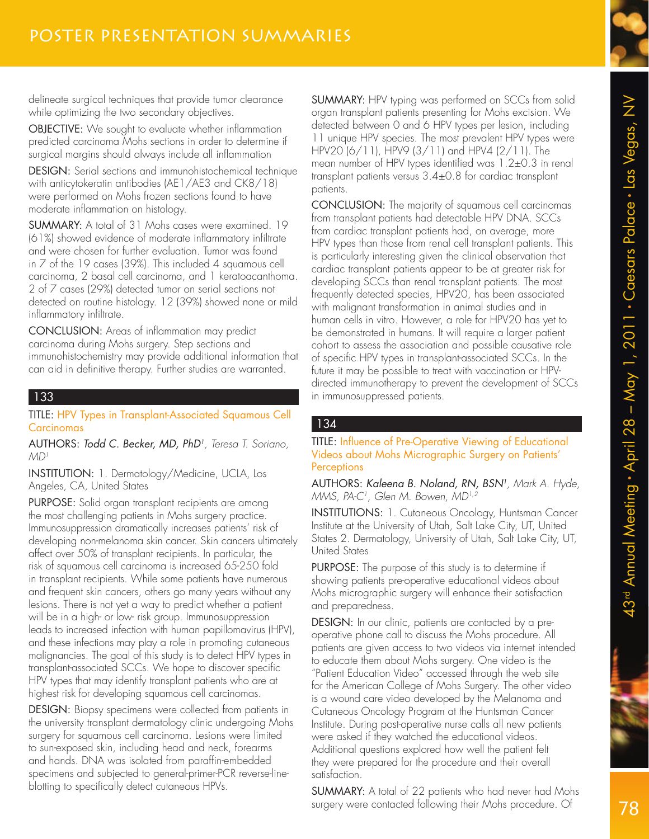delineate surgical techniques that provide tumor clearance while optimizing the two secondary objectives.

OBJECTIVE: We sought to evaluate whether inflammation predicted carcinoma Mohs sections in order to determine if surgical margins should always include all inflammation

DESIGN: Serial sections and immunohistochemical technique with anticytokeratin antibodies (AE1/AE3 and CK8/18) were performed on Mohs frozen sections found to have moderate inflammation on histology.

SUMMARY: A total of 31 Mohs cases were examined. 19 (61%) showed evidence of moderate inflammatory infiltrate and were chosen for further evaluation. Tumor was found in 7 of the 19 cases (39%). This included 4 squamous cell carcinoma, 2 basal cell carcinoma, and 1 keratoacanthoma. 2 of 7 cases (29%) detected tumor on serial sections not detected on routine histology. 12 (39%) showed none or mild inflammatory infiltrate.

CONCLUSION: Areas of inflammation may predict carcinoma during Mohs surgery. Step sections and immunohistochemistry may provide additional information that can aid in definitive therapy. Further studies are warranted.

#### 133

TITLE: HPV Types in Transplant-Associated Squamous Cell Carcinomas

AUTHORS: Todd C. Becker, MD, PhD<sup>1</sup>, Teresa T. Soriano,  $MD<sup>1</sup>$ 

INSTITUTION: 1. Dermatology/Medicine, UCLA, Los Angeles, CA, United States

PURPOSE: Solid organ transplant recipients are among the most challenging patients in Mohs surgery practice. Immunosuppression dramatically increases patients' risk of developing non-melanoma skin cancer. Skin cancers ultimately affect over 50% of transplant recipients. In particular, the risk of squamous cell carcinoma is increased 65-250 fold in transplant recipients. While some patients have numerous and frequent skin cancers, others go many years without any lesions. There is not yet a way to predict whether a patient will be in a high- or low- risk group. Immunosuppression leads to increased infection with human papillomavirus (HPV), and these infections may play a role in promoting cutaneous malignancies. The goal of this study is to detect HPV types in transplant-associated SCCs. We hope to discover specific HPV types that may identify transplant patients who are at highest risk for developing squamous cell carcinomas.

DESIGN: Biopsy specimens were collected from patients in the university transplant dermatology clinic undergoing Mohs surgery for squamous cell carcinoma. Lesions were limited to sun-exposed skin, including head and neck, forearms and hands. DNA was isolated from paraffin-embedded specimens and subjected to general-primer-PCR reverse-lineblotting to specifically detect cutaneous HPVs.

SUMMARY: HPV typing was performed on SCCs from solid organ transplant patients presenting for Mohs excision. We detected between 0 and 6 HPV types per lesion, including 11 unique HPV species. The most prevalent HPV types were HPV20 (6/11), HPV9 (3/11) and HPV4 (2/11). The mean number of HPV types identified was 1.2±0.3 in renal transplant patients versus 3.4±0.8 for cardiac transplant patients.

CONCLUSION: The majority of squamous cell carcinomas from transplant patients had detectable HPV DNA. SCCs from cardiac transplant patients had, on average, more HPV types than those from renal cell transplant patients. This is particularly interesting given the clinical observation that cardiac transplant patients appear to be at greater risk for developing SCCs than renal transplant patients. The most frequently detected species, HPV20, has been associated with malignant transformation in animal studies and in human cells in vitro. However, a role for HPV20 has yet to be demonstrated in humans. It will require a larger patient cohort to assess the association and possible causative role of specific HPV types in transplant-associated SCCs. In the future it may be possible to treat with vaccination or HPVdirected immunotherapy to prevent the development of SCCs in immunosuppressed patients.

#### 134

TITLE: Influence of Pre-Operative Viewing of Educational Videos about Mohs Micrographic Surgery on Patients' **Perceptions** 

**AUTHORS: Kaleena B. Noland, RN, BSN'**, Mark A. Hyde, MMS, PA-C<sup>1</sup>, Glen M. Bowen, MD<sup>1,2</sup>

INSTITUTIONS: 1. Cutaneous Oncology, Huntsman Cancer Institute at the University of Utah, Salt Lake City, UT, United States 2. Dermatology, University of Utah, Salt Lake City, UT, United States

PURPOSE: The purpose of this study is to determine if showing patients pre-operative educational videos about Mohs micrographic surgery will enhance their satisfaction and preparedness.

DESIGN: In our clinic, patients are contacted by a preoperative phone call to discuss the Mohs procedure. All patients are given access to two videos via internet intended to educate them about Mohs surgery. One video is the "Patient Education Video" accessed through the web site for the American College of Mohs Surgery. The other video is a wound care video developed by the Melanoma and Cutaneous Oncology Program at the Huntsman Cancer Institute. During post-operative nurse calls all new patients were asked if they watched the educational videos. Additional questions explored how well the patient felt they were prepared for the procedure and their overall satisfaction.

SUMMARY: A total of 22 patients who had never had Mohs surgery were contacted following their Mohs procedure. Of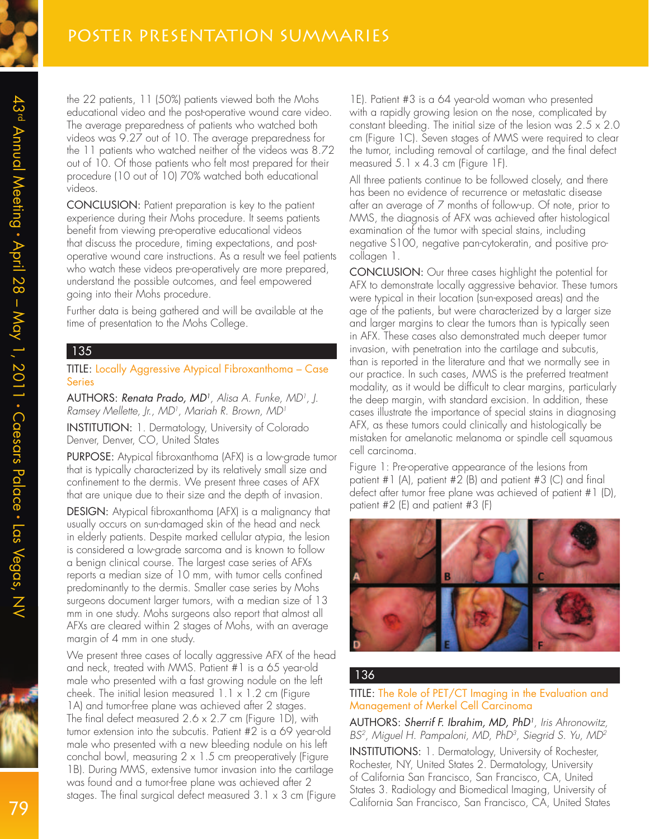the 22 patients, 11 (50%) patients viewed both the Mohs educational video and the post-operative wound care video. The average preparedness of patients who watched both videos was 9.27 out of 10. The average preparedness for the 11 patients who watched neither of the videos was 8.72 out of 10. Of those patients who felt most prepared for their procedure (10 out of 10) 70% watched both educational videos.

CONCLUSION: Patient preparation is key to the patient experience during their Mohs procedure. It seems patients benefit from viewing pre-operative educational videos that discuss the procedure, timing expectations, and postoperative wound care instructions. As a result we feel patients who watch these videos pre-operatively are more prepared, understand the possible outcomes, and feel empowered going into their Mohs procedure.

Further data is being gathered and will be available at the time of presentation to the Mohs College.

#### 135

TITLE: Locally Aggressive Atypical Fibroxanthoma – Case Series

AUTHORS: Renata Prado, MD<sup>1</sup>, Alisa A. Funke, MD<sup>1</sup>, J. Ramsey Mellette, Jr., MD<sup>1</sup> , Mariah R. Brown, MD<sup>1</sup>

INSTITUTION: 1. Dermatology, University of Colorado Denver, Denver, CO, United States

PURPOSE: Atypical fibroxanthoma (AFX) is a low-grade tumor that is typically characterized by its relatively small size and confinement to the dermis. We present three cases of AFX that are unique due to their size and the depth of invasion.

DESIGN: Atypical fibroxanthoma (AFX) is a malignancy that usually occurs on sun-damaged skin of the head and neck in elderly patients. Despite marked cellular atypia, the lesion is considered a low-grade sarcoma and is known to follow a benign clinical course. The largest case series of AFXs reports a median size of 10 mm, with tumor cells confined predominantly to the dermis. Smaller case series by Mohs surgeons document larger tumors, with a median size of 13 mm in one study. Mohs surgeons also report that almost all AFXs are cleared within 2 stages of Mohs, with an average margin of 4 mm in one study.

We present three cases of locally aggressive AFX of the head and neck, treated with MMS. Patient #1 is a 65 year-old male who presented with a fast growing nodule on the left cheek. The initial lesion measured  $1.1 \times 1.2$  cm (Figure 1A) and tumor-free plane was achieved after 2 stages. The final defect measured 2.6 x 2.7 cm (Figure 1D), with tumor extension into the subcutis. Patient #2 is a 69 year-old male who presented with a new bleeding nodule on his left conchal bowl, measuring  $2 \times 1.5$  cm preoperatively (Figure 1B). During MMS, extensive tumor invasion into the cartilage was found and a tumor-free plane was achieved after 2 stages. The final surgical defect measured 3.1 x 3 cm (Figure

1E). Patient #3 is a 64 year-old woman who presented with a rapidly growing lesion on the nose, complicated by constant bleeding. The initial size of the lesion was  $2.5 \times 2.0$ cm (Figure 1C). Seven stages of MMS were required to clear the tumor, including removal of cartilage, and the final defect measured  $5.1 \times 4.3$  cm (Figure 1F).

All three patients continue to be followed closely, and there has been no evidence of recurrence or metastatic disease after an average of 7 months of follow-up. Of note, prior to MMS, the diagnosis of AFX was achieved after histological examination of the tumor with special stains, including negative S100, negative pan-cytokeratin, and positive procollagen 1.

CONCLUSION: Our three cases highlight the potential for AFX to demonstrate locally aggressive behavior. These tumors were typical in their location (sun-exposed areas) and the age of the patients, but were characterized by a larger size and larger margins to clear the tumors than is typically seen in AFX. These cases also demonstrated much deeper tumor invasion, with penetration into the cartilage and subcutis, than is reported in the literature and that we normally see in our practice. In such cases, MMS is the preferred treatment modality, as it would be difficult to clear margins, particularly the deep margin, with standard excision. In addition, these cases illustrate the importance of special stains in diagnosing AFX, as these tumors could clinically and histologically be mistaken for amelanotic melanoma or spindle cell squamous cell carcinoma.

Figure 1: Pre-operative appearance of the lesions from patient #1 (A), patient #2 (B) and patient #3 (C) and final defect after tumor free plane was achieved of patient #1 (D), patient #2 (E) and patient #3 (F)



#### 136

#### TITLE: The Role of PET/CT Imaging in the Evaluation and Management of Merkel Cell Carcinoma

AUTHORS: Sherrif F. Ibrahim, MD, PhD<sup>1</sup> , Iris Ahronowitz, BS<sup>2</sup>, Miguel H. Pampaloni, MD, PhD<sup>3</sup>, Siegrid S. Yu, MD<sup>2</sup>

INSTITUTIONS: 1. Dermatology, University of Rochester, Rochester, NY, United States 2. Dermatology, University of California San Francisco, San Francisco, CA, United States 3. Radiology and Biomedical Imaging, University of California San Francisco, San Francisco, CA, United States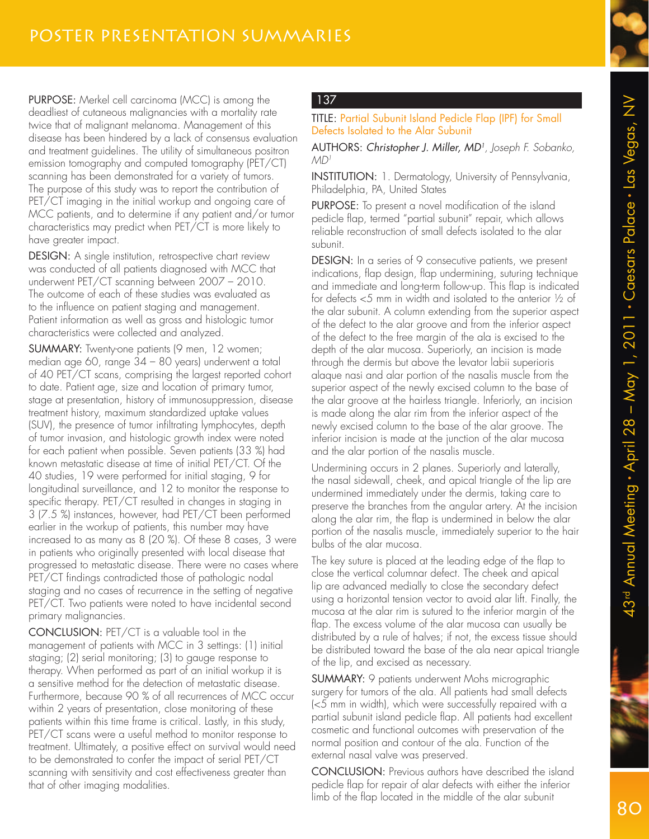

PURPOSE: Merkel cell carcinoma (MCC) is among the deadliest of cutaneous malignancies with a mortality rate twice that of malignant melanoma. Management of this disease has been hindered by a lack of consensus evaluation and treatment guidelines. The utility of simultaneous positron emission tomography and computed tomography (PET/CT) scanning has been demonstrated for a variety of tumors. The purpose of this study was to report the contribution of PET/CT imaging in the initial workup and ongoing care of MCC patients, and to determine if any patient and/or tumor characteristics may predict when PET/CT is more likely to have greater impact.

DESIGN: A single institution, retrospective chart review was conducted of all patients diagnosed with MCC that underwent PET/CT scanning between 2007 – 2010. The outcome of each of these studies was evaluated as to the influence on patient staging and management. Patient information as well as gross and histologic tumor characteristics were collected and analyzed.

SUMMARY: Twenty-one patients (9 men, 12 women; median age 60, range 34 – 80 years) underwent a total of 40 PET/CT scans, comprising the largest reported cohort to date. Patient age, size and location of primary tumor, stage at presentation, history of immunosuppression, disease treatment history, maximum standardized uptake values (SUV), the presence of tumor infiltrating lymphocytes, depth of tumor invasion, and histologic growth index were noted for each patient when possible. Seven patients (33 %) had known metastatic disease at time of initial PET/CT. Of the 40 studies, 19 were performed for initial staging, 9 for longitudinal surveillance, and 12 to monitor the response to specific therapy. PET/CT resulted in changes in staging in 3 (7.5 %) instances, however, had PET/CT been performed earlier in the workup of patients, this number may have increased to as many as 8 (20 %). Of these 8 cases, 3 were in patients who originally presented with local disease that progressed to metastatic disease. There were no cases where PET/CT findings contradicted those of pathologic nodal staging and no cases of recurrence in the setting of negative PET/CT. Two patients were noted to have incidental second primary malignancies.

CONCLUSION: PET/CT is a valuable tool in the management of patients with MCC in 3 settings: (1) initial staging; (2) serial monitoring; (3) to gauge response to therapy. When performed as part of an initial workup it is a sensitive method for the detection of metastatic disease. Furthermore, because 90 % of all recurrences of MCC occur within 2 years of presentation, close monitoring of these patients within this time frame is critical. Lastly, in this study, PET/CT scans were a useful method to monitor response to treatment. Ultimately, a positive effect on survival would need to be demonstrated to confer the impact of serial PET/CT scanning with sensitivity and cost effectiveness greater than that of other imaging modalities.

# 137

TITLE: Partial Subunit Island Pedicle Flap (IPF) for Small Defects Isolated to the Alar Subunit

AUTHORS: Christopher J. Miller, MD<sup>1</sup> , Joseph F. Sobanko,  $MD<sup>1</sup>$ 

INSTITUTION: 1. Dermatology, University of Pennsylvania, Philadelphia, PA, United States

PURPOSE: To present a novel modification of the island pedicle flap, termed "partial subunit" repair, which allows reliable reconstruction of small defects isolated to the alar subunit.

DESIGN: In a series of 9 consecutive patients, we present indications, flap design, flap undermining, suturing technique and immediate and long-term follow-up. This flap is indicated for defects <5 mm in width and isolated to the anterior ½ of the alar subunit. A column extending from the superior aspect of the defect to the alar groove and from the inferior aspect of the defect to the free margin of the ala is excised to the depth of the alar mucosa. Superiorly, an incision is made through the dermis but above the levator labii superioris alaque nasi and alar portion of the nasalis muscle from the superior aspect of the newly excised column to the base of the alar groove at the hairless triangle. Inferiorly, an incision is made along the alar rim from the inferior aspect of the newly excised column to the base of the alar groove. The inferior incision is made at the junction of the alar mucosa and the alar portion of the nasalis muscle.

Undermining occurs in 2 planes. Superiorly and laterally, the nasal sidewall, cheek, and apical triangle of the lip are undermined immediately under the dermis, taking care to preserve the branches from the angular artery. At the incision along the alar rim, the flap is undermined in below the alar portion of the nasalis muscle, immediately superior to the hair bulbs of the alar mucosa.

The key suture is placed at the leading edge of the flap to close the vertical columnar defect. The cheek and apical lip are advanced medially to close the secondary defect using a horizontal tension vector to avoid alar lift. Finally, the mucosa at the alar rim is sutured to the inferior margin of the flap. The excess volume of the alar mucosa can usually be distributed by a rule of halves; if not, the excess tissue should be distributed toward the base of the ala near apical triangle of the lip, and excised as necessary.

SUMMARY: 9 patients underwent Mohs micrographic surgery for tumors of the ala. All patients had small defects (<5 mm in width), which were successfully repaired with a partial subunit island pedicle flap. All patients had excellent cosmetic and functional outcomes with preservation of the normal position and contour of the ala. Function of the external nasal valve was preserved.

CONCLUSION: Previous authors have described the island pedicle flap for repair of alar defects with either the inferior limb of the flap located in the middle of the alar subunit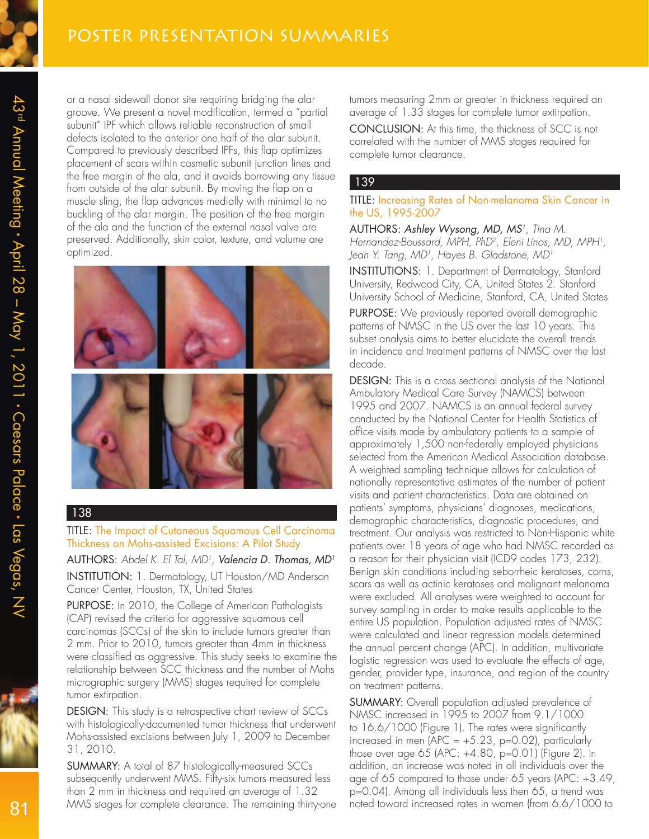or a nasal sidewall donor site requiring bridging the alar groove. We present a novel modification, termed a "partial subunit" IPF which allows reliable reconstruction of small defects isolated to the anterior one half of the alar subunit. Compared to previously described IPFs, this flap optimizes placement of scars within cosmetic subunit junction lines and the free margin of the ala, and it avoids borrowing any tissue from outside of the alar subunit. By moving the flap on a muscle sling, the flap advances medially with minimal to no buckling of the alar margin. The position of the free margin of the ala and the function of the external nasal valve are preserved. Additionally, skin color, texture, and volume are optimized.



## 138

TITLE: The Impact of Cutaneous Squamous Cell Carcinoma Thickness on Mohs-assisted Excisions: A Pilot Study

AUTHORS: Abdel K. El Tal, MD<sup>1</sup>, **Valencia D. Thomas, MD<sup>1</sup>** INSTITUTION: 1. Dermatology, UT Houston/MD Anderson Cancer Center, Houston, TX, United States

PURPOSE: In 2010, the College of American Pathologists (CAP) revised the criteria for aggressive squamous cell carcinomas (SCCs) of the skin to include tumors greater than 2 mm. Prior to 2010, tumors greater than 4mm in thickness were classified as aggressive. This study seeks to examine the relationship between SCC thickness and the number of Mohs micrographic surgery (MMS) stages required for complete tumor extirpation.

DESIGN: This study is a retrospective chart review of SCCs with histologically-documented tumor thickness that underwent Mohs-assisted excisions between July 1, 2009 to December 31, 2010.

SUMMARY: A total of 87 histologically-measured SCCs subsequently underwent MMS. Fifty-six tumors measured less than 2 mm in thickness and required an average of 1.32 MMS stages for complete clearance. The remaining thirty-one tumors measuring 2mm or greater in thickness required an average of 1.33 stages for complete tumor extirpation.

CONCLUSION: At this time, the thickness of SCC is not correlated with the number of MMS stages required for complete tumor clearance.

### 139

#### TITLE: Increasing Rates of Non-melanoma Skin Cancer in the US, 1995-2007

AUTHORS: Ashley Wysong, MD, MS<sup>1</sup>, Tina M. Hernandez-Boussard, MPH, PhD<sup>2</sup> , Eleni Linos, MD, MPH<sup>1</sup> , Jean Y. Tang, MD<sup>1</sup>, Hayes B. Gladstone, MD<sup>1</sup>

INSTITUTIONS: 1. Department of Dermatology, Stanford University, Redwood City, CA, United States 2. Stanford University School of Medicine, Stanford, CA, United States

PURPOSE: We previously reported overall demographic patterns of NMSC in the US over the last 10 years. This subset analysis aims to better elucidate the overall trends in incidence and treatment patterns of NMSC over the last decade.

DESIGN: This is a cross sectional analysis of the National Ambulatory Medical Care Survey (NAMCS) between 1995 and 2007. NAMCS is an annual federal survey conducted by the National Center for Health Statistics of office visits made by ambulatory patients to a sample of approximately 1,500 non-federally employed physicians selected from the American Medical Association database. A weighted sampling technique allows for calculation of nationally representative estimates of the number of patient visits and patient characteristics. Data are obtained on patients' symptoms, physicians' diagnoses, medications, demographic characteristics, diagnostic procedures, and treatment. Our analysis was restricted to Non-Hispanic white patients over 18 years of age who had NMSC recorded as a reason for their physician visit (ICD9 codes 173, 232). Benign skin conditions including seborrheic keratoses, corns, scars as well as actinic keratoses and malignant melanoma were excluded. All analyses were weighted to account for survey sampling in order to make results applicable to the entire US population. Population adjusted rates of NMSC were calculated and linear regression models determined the annual percent change (APC). In addition, multivariate logistic regression was used to evaluate the effects of age, gender, provider type, insurance, and region of the country on treatment patterns.

SUMMARY: Overall population adjusted prevalence of NMSC increased in 1995 to 2007 from 9.1/1000 to 16.6/1000 (Figure 1). The rates were significantly increased in men  $APC = +5.23$ , p=0.02), particularly those over age 65 (APC: +4.80, p=0.01) (Figure 2). In addition, an increase was noted in all individuals over the age of 65 compared to those under 65 years (APC: +3.49, p=0.04). Among all individuals less then 65, a trend was noted toward increased rates in women (from 6.6/1000 to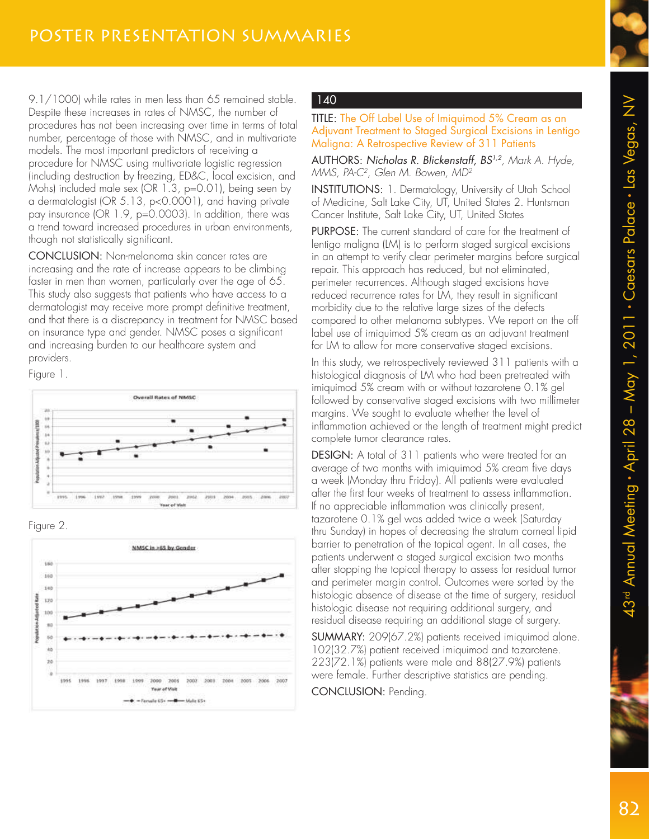9.1/1000) while rates in men less than 65 remained stable. Despite these increases in rates of NMSC, the number of procedures has not been increasing over time in terms of total number, percentage of those with NMSC, and in multivariate models. The most important predictors of receiving a procedure for NMSC using multivariate logistic regression (including destruction by freezing, ED&C, local excision, and Mohs) included male sex (OR 1.3, p=0.01), being seen by a dermatologist (OR 5.13, p<0.0001), and having private pay insurance (OR 1.9, p=0.0003). In addition, there was a trend toward increased procedures in urban environments, though not statistically significant.

CONCLUSION: Non-melanoma skin cancer rates are increasing and the rate of increase appears to be climbing faster in men than women, particularly over the age of 65. This study also suggests that patients who have access to a dermatologist may receive more prompt definitive treatment, and that there is a discrepancy in treatment for NMSC based on insurance type and gender. NMSC poses a significant and increasing burden to our healthcare system and providers.

Figure 1.







# 140

TITLE: The Off Label Use of Imiquimod 5% Cream as an Adjuvant Treatment to Staged Surgical Excisions in Lentigo Maligna: A Retrospective Review of 311 Patients

AUTHORS: Nicholas R. Blickenstaff, BS<sup>1,2</sup>, Mark A. Hyde, MMS, PA-C<sup>2</sup> , Glen M. Bowen, MD<sup>2</sup>

INSTITUTIONS: 1. Dermatology, University of Utah School of Medicine, Salt Lake City, UT, United States 2. Huntsman Cancer Institute, Salt Lake City, UT, United States

PURPOSE: The current standard of care for the treatment of lentigo maligna (LM) is to perform staged surgical excisions in an attempt to verify clear perimeter margins before surgical repair. This approach has reduced, but not eliminated, perimeter recurrences. Although staged excisions have reduced recurrence rates for LM, they result in significant morbidity due to the relative large sizes of the defects compared to other melanoma subtypes. We report on the off label use of imiquimod 5% cream as an adjuvant treatment for LM to allow for more conservative staged excisions.

In this study, we retrospectively reviewed 311 patients with a histological diagnosis of LM who had been pretreated with imiquimod 5% cream with or without tazarotene 0.1% gel followed by conservative staged excisions with two millimeter margins. We sought to evaluate whether the level of inflammation achieved or the length of treatment might predict complete tumor clearance rates.

DESIGN: A total of 311 patients who were treated for an average of two months with imiquimod 5% cream five days a week (Monday thru Friday). All patients were evaluated after the first four weeks of treatment to assess inflammation. If no appreciable inflammation was clinically present, tazarotene 0.1% gel was added twice a week (Saturday thru Sunday) in hopes of decreasing the stratum corneal lipid barrier to penetration of the topical agent. In all cases, the patients underwent a staged surgical excision two months after stopping the topical therapy to assess for residual tumor and perimeter margin control. Outcomes were sorted by the histologic absence of disease at the time of surgery, residual histologic disease not requiring additional surgery, and residual disease requiring an additional stage of surgery.

SUMMARY: 209(67.2%) patients received imiquimod alone. 102(32.7%) patient received imiquimod and tazarotene. 223(72.1%) patients were male and 88(27.9%) patients were female. Further descriptive statistics are pending.

CONCLUSION: Pending.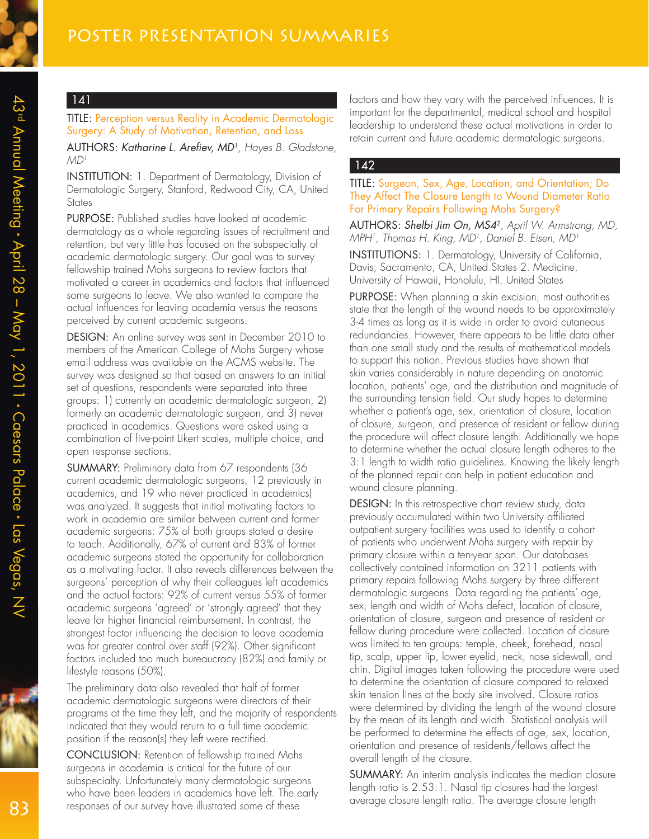TITLE: Perception versus Reality in Academic Dermatologic Surgery: A Study of Motivation, Retention, and Loss

AUTHORS: Katharine L. Arefiev, MD<sup>1</sup>, Hayes B. Gladstone,  $MD<sup>1</sup>$ 

INSTITUTION: 1. Department of Dermatology, Division of Dermatologic Surgery, Stanford, Redwood City, CA, United **States** 

PURPOSE: Published studies have looked at academic dermatology as a whole regarding issues of recruitment and retention, but very little has focused on the subspecialty of academic dermatologic surgery. Our goal was to survey fellowship trained Mohs surgeons to review factors that motivated a career in academics and factors that influenced some surgeons to leave. We also wanted to compare the actual influences for leaving academia versus the reasons perceived by current academic surgeons.

DESIGN: An online survey was sent in December 2010 to members of the American College of Mohs Surgery whose email address was available on the ACMS website. The survey was designed so that based on answers to an initial set of questions, respondents were separated into three groups: 1) currently an academic dermatologic surgeon, 2) formerly an academic dermatologic surgeon, and 3) never practiced in academics. Questions were asked using a combination of five-point Likert scales, multiple choice, and open response sections.

SUMMARY: Preliminary data from 67 respondents (36 current academic dermatologic surgeons, 12 previously in academics, and 19 who never practiced in academics) was analyzed. It suggests that initial motivating factors to work in academia are similar between current and former academic surgeons: 75% of both groups stated a desire to teach. Additionally, 67% of current and 83% of former academic surgeons stated the opportunity for collaboration as a motivating factor. It also reveals differences between the surgeons' perception of why their colleagues left academics and the actual factors: 92% of current versus 55% of former academic surgeons 'agreed' or 'strongly agreed' that they leave for higher financial reimbursement. In contrast, the strongest factor influencing the decision to leave academia was for greater control over staff (92%). Other significant factors included too much bureaucracy (82%) and family or lifestyle reasons (50%).

The preliminary data also revealed that half of former academic dermatologic surgeons were directors of their programs at the time they left, and the majority of respondents indicated that they would return to a full time academic position if the reason(s) they left were rectified.

CONCLUSION: Retention of fellowship trained Mohs surgeons in academia is critical for the future of our subspecialty. Unfortunately many dermatologic surgeons who have been leaders in academics have left. The early responses of our survey have illustrated some of these

factors and how they vary with the perceived influences. It is important for the departmental, medical school and hospital leadership to understand these actual motivations in order to retain current and future academic dermatologic surgeons.

#### 142

#### TITLE: Surgeon, Sex, Age, Location, and Orientation; Do They Affect The Closure Length to Wound Diameter Ratio For Primary Repairs Following Mohs Surgery?

AUTHORS: Shelbi Jim On, MS4<sup>2</sup> , April W. Armstrong, MD, MPH<sup>1</sup>, Thomas H. King, MD<sup>1</sup>, Daniel B. Eisen, MD<sup>1</sup>

INSTITUTIONS: 1. Dermatology, University of California, Davis, Sacramento, CA, United States 2. Medicine, University of Hawaii, Honolulu, HI, United States

PURPOSE: When planning a skin excision, most authorities state that the length of the wound needs to be approximately 3-4 times as long as it is wide in order to avoid cutaneous redundancies. However, there appears to be little data other than one small study and the results of mathematical models to support this notion. Previous studies have shown that skin varies considerably in nature depending on anatomic location, patients' age, and the distribution and magnitude of the surrounding tension field. Our study hopes to determine whether a patient's age, sex, orientation of closure, location of closure, surgeon, and presence of resident or fellow during the procedure will affect closure length. Additionally we hope to determine whether the actual closure length adheres to the 3:1 length to width ratio guidelines. Knowing the likely length of the planned repair can help in patient education and wound closure planning.

DESIGN: In this retrospective chart review study, data previously accumulated within two University affiliated outpatient surgery facilities was used to identify a cohort of patients who underwent Mohs surgery with repair by primary closure within a ten-year span. Our databases collectively contained information on 3211 patients with primary repairs following Mohs surgery by three different dermatologic surgeons. Data regarding the patients' age, sex, length and width of Mohs defect, location of closure, orientation of closure, surgeon and presence of resident or fellow during procedure were collected. Location of closure was limited to ten groups: temple, cheek, forehead, nasal tip, scalp, upper lip, lower eyelid, neck, nose sidewall, and chin. Digital images taken following the procedure were used to determine the orientation of closure compared to relaxed skin tension lines at the body site involved. Closure ratios were determined by dividing the length of the wound closure by the mean of its length and width. Statistical analysis will be performed to determine the effects of age, sex, location, orientation and presence of residents/fellows affect the overall length of the closure.

SUMMARY: An interim analysis indicates the median closure length ratio is 2.53:1. Nasal tip closures had the largest average closure length ratio. The average closure length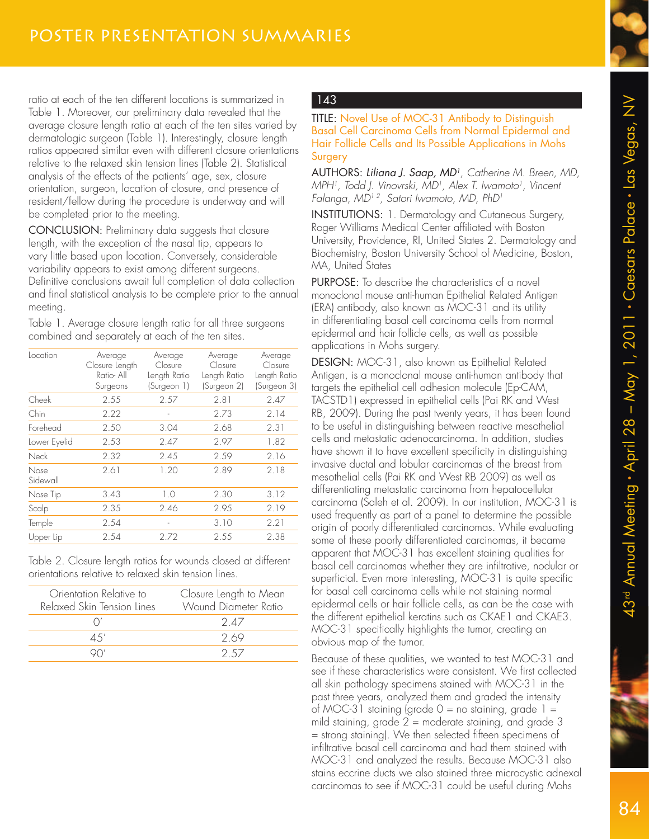ratio at each of the ten different locations is summarized in Table 1. Moreover, our preliminary data revealed that the average closure length ratio at each of the ten sites varied by dermatologic surgeon (Table 1). Interestingly, closure length ratios appeared similar even with different closure orientations relative to the relaxed skin tension lines (Table 2). Statistical analysis of the effects of the patients' age, sex, closure orientation, surgeon, location of closure, and presence of resident/fellow during the procedure is underway and will be completed prior to the meeting.

CONCLUSION: Preliminary data suggests that closure length, with the exception of the nasal tip, appears to vary little based upon location. Conversely, considerable variability appears to exist among different surgeons. Definitive conclusions await full completion of data collection and final statistical analysis to be complete prior to the annual meeting.

Table 1. Average closure length ratio for all three surgeons combined and separately at each of the ten sites.

| Location         | Average<br>Closure Length<br>Ratio-All<br>Surgeons | Average<br>Closure<br>Length Ratio<br>(Surgeon 1) | Average<br>Closure<br>Length Ratio<br>(Surgeon 2) | Average<br>Closure<br>Length Ratio<br>(Surgeon 3) |
|------------------|----------------------------------------------------|---------------------------------------------------|---------------------------------------------------|---------------------------------------------------|
| Cheek            | 2.55                                               | 2.57                                              | 2.81                                              | 2.47                                              |
| Chin             | 2.22                                               |                                                   | 2.73                                              | 2.14                                              |
| Forehead         | 2.50                                               | 3.04                                              | 2.68                                              | 2.31                                              |
| Lower Eyelid     | 2.53                                               | 2.47                                              | 2.97                                              | 1.82                                              |
| Neck             | 2.32                                               | 2.45                                              | 2.59                                              | 2.16                                              |
| Nose<br>Sidewall | 2.61                                               | 1.20                                              | 2.89                                              | 2.18                                              |
| Nose Tip         | 3.43                                               | 1.0                                               | 2.30                                              | 3.12                                              |
| Scalp            | 2.35                                               | 2.46                                              | 2.95                                              | 2.19                                              |
| Temple           | 2.54                                               | ٠                                                 | 3.10                                              | 2.21                                              |
| Upper Lip        | 2.54                                               | 2.72                                              | 2.55                                              | 2.38                                              |
|                  |                                                    |                                                   |                                                   |                                                   |

Table 2. Closure length ratios for wounds closed at different orientations relative to relaxed skin tension lines.

| Orientation Relative to<br>Relaxed Skin Tension Lines | Closure Length to Mean<br>Wound Diameter Ratio |  |
|-------------------------------------------------------|------------------------------------------------|--|
|                                                       | 247                                            |  |
| 4.5'                                                  | 2.69                                           |  |
|                                                       | 2.57                                           |  |
|                                                       |                                                |  |

# 143

TITLE: Novel Use of MOC-31 Antibody to Distinguish Basal Cell Carcinoma Cells from Normal Epidermal and Hair Follicle Cells and Its Possible Applications in Mohs Surgery

AUTHORS: Liliana J. Saap, MD<sup>1</sup>, Catherine M. Breen, MD, MPH<sup>1</sup>, Todd J. Vinovrski, MD<sup>1</sup>, Alex T. Iwamoto<sup>1</sup>, Vincent Falanga, MD<sup>12</sup>, Satori Iwamoto, MD, PhD<sup>1</sup>

INSTITUTIONS: 1. Dermatology and Cutaneous Surgery, Roger Williams Medical Center affiliated with Boston University, Providence, RI, United States 2. Dermatology and Biochemistry, Boston University School of Medicine, Boston, MA, United States

PURPOSE: To describe the characteristics of a novel monoclonal mouse anti-human Epithelial Related Antigen (ERA) antibody, also known as MOC-31 and its utility in differentiating basal cell carcinoma cells from normal epidermal and hair follicle cells, as well as possible applications in Mohs surgery.

DESIGN: MOC-31, also known as Epithelial Related Antigen, is a monoclonal mouse anti-human antibody that targets the epithelial cell adhesion molecule (Ep-CAM, TACSTD1) expressed in epithelial cells (Pai RK and West RB, 2009). During the past twenty years, it has been found to be useful in distinguishing between reactive mesothelial cells and metastatic adenocarcinoma. In addition, studies have shown it to have excellent specificity in distinguishing invasive ductal and lobular carcinomas of the breast from mesothelial cells (Pai RK and West RB 2009) as well as differentiating metastatic carcinoma from hepatocellular carcinoma (Saleh et al. 2009). In our institution, MOC-31 is used frequently as part of a panel to determine the possible origin of poorly differentiated carcinomas. While evaluating some of these poorly differentiated carcinomas, it became apparent that MOC-31 has excellent staining qualities for basal cell carcinomas whether they are infiltrative, nodular or superficial. Even more interesting, MOC-31 is quite specific for basal cell carcinoma cells while not staining normal epidermal cells or hair follicle cells, as can be the case with the different epithelial keratins such as CKAE1 and CKAE3. MOC-31 specifically highlights the tumor, creating an obvious map of the tumor.

Because of these qualities, we wanted to test MOC-31 and see if these characteristics were consistent. We first collected all skin pathology specimens stained with MOC-31 in the past three years, analyzed them and graded the intensity of MOC-31 staining (grade  $0 =$  no staining, grade  $1 =$ mild staining, grade 2 = moderate staining, and grade 3 = strong staining). We then selected fifteen specimens of infiltrative basal cell carcinoma and had them stained with MOC-31 and analyzed the results. Because MOC-31 also stains eccrine ducts we also stained three microcystic adnexal carcinomas to see if MOC-31 could be useful during Mohs